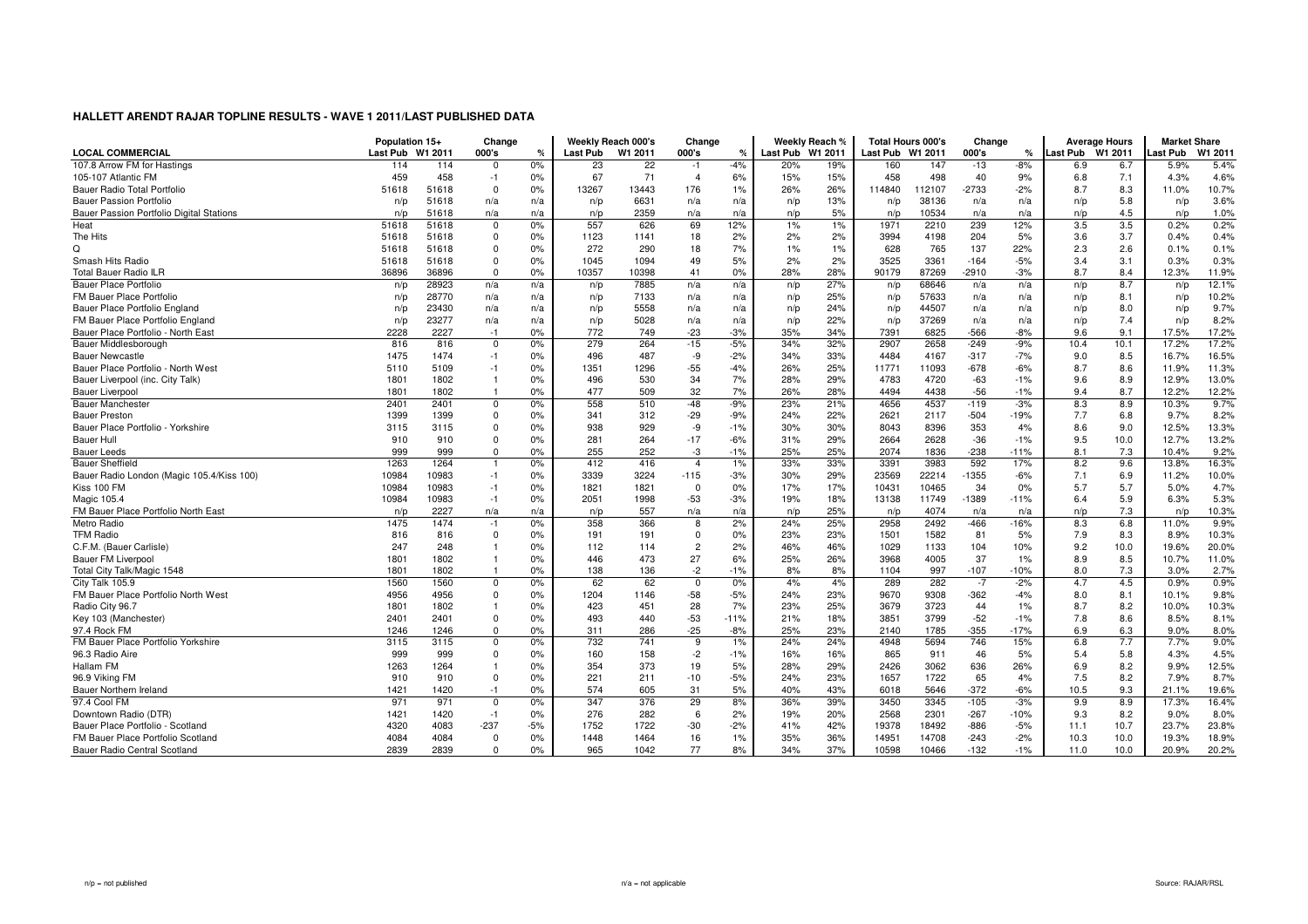|                                           | Population 15+   |       | Change         |       |                 | Weekly Reach 000's | Change         |        |                  | Weekly Reach % |                  | <b>Total Hours 000's</b> | Change  |        |                  | <b>Average Hours</b> | <b>Market Share</b> |        |
|-------------------------------------------|------------------|-------|----------------|-------|-----------------|--------------------|----------------|--------|------------------|----------------|------------------|--------------------------|---------|--------|------------------|----------------------|---------------------|--------|
| <b>LOCAL COMMERCIAL</b>                   | Last Pub W1 2011 |       | 000's          | ℀     | <b>Last Pub</b> | W1 2011            | 000's          | $\%$   | Last Pub W1 2011 |                | Last Pub W1 2011 |                          | 000's   | ℀      | Last Pub W1 2011 |                      | Last Pub            | W1 201 |
| 107.8 Arrow FM for Hastings               | 114              | 114   | $\Omega$       | 0%    | 23              | 22                 | $-1$           | $-4%$  | 20%              | 19%            | 160              | 147                      | $-13$   | $-8%$  | 6.9              | 6.7                  | 5.9%                | 5.4%   |
| 105-107 Atlantic FM                       | 459              | 458   | $-1$           | 0%    | 67              | 71                 | $\overline{4}$ | 6%     | 15%              | 15%            | 458              | 498                      | 40      | 9%     | 6.8              | 7.1                  | 4.3%                | 4.6%   |
| Bauer Radio Total Portfolio               | 51618            | 51618 | $\mathbf 0$    | 0%    | 13267           | 13443              | 176            | 1%     | 26%              | 26%            | 114840           | 112107                   | -2733   | $-2%$  | 8.7              | 8.3                  | 11.0%               | 10.7%  |
| <b>Bauer Passion Portfolio</b>            | n/p              | 51618 | n/a            | n/a   | n/p             | 6631               | n/a            | n/a    | n/p              | 13%            | n/p              | 38136                    | n/a     | n/a    | n/p              | 5.8                  | n/p                 | 3.6%   |
| Bauer Passion Portfolio Digital Stations  | n/p              | 51618 | n/a            | n/a   | n/p             | 2359               | n/a            | n/a    | n/p              | 5%             | n/p              | 10534                    | n/a     | n/a    | n/p              | 4.5                  | n/p                 | 1.0%   |
| Heat                                      | 51618            | 51618 | $\Omega$       | 0%    | 557             | 626                | 69             | 12%    | 1%               | 1%             | 1971             | 2210                     | 239     | 12%    | 3.5              | 3.5                  | 0.2%                | 0.2%   |
| The Hits                                  | 51618            | 51618 | $\Omega$       | 0%    | 1123            | 1141               | 18             | 2%     | 2%               | 2%             | 3994             | 4198                     | 204     | 5%     | 3.6              | 3.7                  | 0.4%                | 0.4%   |
| Q                                         | 51618            | 51618 | $\Omega$       | 0%    | 272             | 290                | 18             | 7%     | 1%               | 1%             | 628              | 765                      | 137     | 22%    | 2.3              | 2.6                  | 0.1%                | 0.1%   |
| Smash Hits Radio                          | 51618            | 51618 | $\Omega$       | 0%    | 1045            | 1094               | 49             | 5%     | 2%               | 2%             | 3525             | 3361                     | $-164$  | $-5%$  | 3.4              | 3.1                  | 0.3%                | 0.3%   |
| <b>Total Bauer Radio ILR</b>              | 36896            | 36896 | $\Omega$       | 0%    | 10357           | 10398              | 41             | 0%     | 28%              | 28%            | 90179            | 87269                    | $-2910$ | $-3%$  | 8.7              | 8.4                  | 12.3%               | 11.9%  |
| <b>Bauer Place Portfolio</b>              | n/p              | 28923 | n/a            | n/a   | n/p             | 7885               | n/a            | n/a    | n/p              | 27%            | n/p              | 68646                    | n/a     | n/a    | n/p              | 8.7                  | n/p                 | 12.1%  |
| FM Bauer Place Portfolio                  | n/p              | 28770 | n/a            | n/a   | n/p             | 7133               | n/a            | n/a    | n/p              | 25%            | n/p              | 57633                    | n/a     | n/a    | n/p              | 8.1                  | n/p                 | 10.2%  |
| Bauer Place Portfolio England             | n/p              | 23430 | n/a            | n/a   | n/p             | 5558               | n/a            | n/a    | n/p              | 24%            | n/p              | 44507                    | n/a     | n/a    | n/p              | 8.0                  | n/p                 | 9.7%   |
| FM Bauer Place Portfolio England          | n/p              | 23277 | n/a            | n/a   | n/p             | 5028               | n/a            | n/a    | n/p              | 22%            | n/p              | 37269                    | n/a     | n/a    | n/p              | 7.4                  | n/p                 | 8.2%   |
| Bauer Place Portfolio - North East        | 2228             | 2227  | $-1$           | 0%    | 772             | 749                | $-23$          | $-3%$  | 35%              | 34%            | 7391             | 6825                     | $-566$  | -8%    | 9.6              | 9.1                  | 17.5%               | 17.2%  |
| Bauer Middlesborough                      | 816              | 816   | $\mathbf 0$    | 0%    | 279             | 264                | $-15$          | $-5%$  | 34%              | 32%            | 2907             | 2658                     | $-249$  | $-9%$  | 10.4             | 10.1                 | 17.2%               | 17.2%  |
| <b>Bauer Newcastle</b>                    | 1475             | 1474  | $-1$           | 0%    | 496             | 487                | -9             | $-2%$  | 34%              | 33%            | 4484             | 4167                     | $-317$  | $-7%$  | 9.0              | 8.5                  | 16.7%               | 16.5%  |
| Bauer Place Portfolio - North West        | 5110             | 5109  | $-1$           | 0%    | 1351            | 1296               | $-55$          | $-4%$  | 26%              | 25%            | 11771            | 11093                    | $-678$  | $-6%$  | 8.7              | 8.6                  | 11.9%               | 11.3%  |
| Bauer Liverpool (inc. City Talk)          | 1801             | 1802  | $\overline{1}$ | 0%    | 496             | 530                | 34             | 7%     | 28%              | 29%            | 4783             | 4720                     | $-63$   | $-1%$  | 9.6              | 8.9                  | 12.9%               | 13.0%  |
| <b>Bauer Liverpool</b>                    | 1801             | 1802  |                | 0%    | 477             | 509                | 32             | 7%     | 26%              | 28%            | 4494             | 4438                     | $-56$   | $-1%$  | 9.4              | 8.7                  | 12.2%               | 12.2%  |
| <b>Bauer Manchester</b>                   | 2401             | 2401  | $\Omega$       | 0%    | 558             | 510                | $-48$          | $-9%$  | 23%              | 21%            | 4656             | 4537                     | $-119$  | $-3%$  | 8.3              | 8.9                  | 10.3%               | 9.7%   |
| <b>Bauer Preston</b>                      | 1399             | 1399  | $\Omega$       | 0%    | 341             | 312                | $-29$          | $-9%$  | 24%              | 22%            | 2621             | 2117                     | $-504$  | $-19%$ | 7.7              | 6.8                  | 9.7%                | 8.2%   |
| Bauer Place Portfolio - Yorkshire         | 3115             | 3115  | $\Omega$       | 0%    | 938             | 929                | -9             | $-1%$  | 30%              | 30%            | 8043             | 8396                     | 353     | 4%     | 8.6              | 9.0                  | 12.5%               | 13.3%  |
| <b>Bauer Hull</b>                         | 910              | 910   | $\Omega$       | 0%    | 281             | 264                | $-17$          | $-6%$  | 31%              | 29%            | 2664             | 2628                     | $-36$   | $-1%$  | 9.5              | 10.0                 | 12.7%               | 13.2%  |
| <b>Bauer Leeds</b>                        | 999              | 999   | $\Omega$       | 0%    | 255             | 252                | -3             | $-1%$  | 25%              | 25%            | 2074             | 1836                     | $-238$  | $-11%$ | 8.1              | 7.3                  | 10.4%               | 9.2%   |
| <b>Bauer Sheffield</b>                    | 1263             | 1264  |                | 0%    | 412             | 416                | $\overline{4}$ | $1\%$  | 33%              | 33%            | 3391             | 3983                     | 592     | 17%    | 8.2              | 9.6                  | 13.8%               | 16.3%  |
| Bauer Radio London (Magic 105.4/Kiss 100) | 10984            | 10983 | $-1$           | 0%    | 3339            | 3224               | $-115$         | $-3%$  | 30%              | 29%            | 23569            | 22214                    | $-1355$ | $-6%$  | 7.1              | 6.9                  | 11.2%               | 10.0%  |
| Kiss 100 FM                               | 10984            | 10983 | $-1$           | 0%    | 1821            | 1821               | $\Omega$       | 0%     | 17%              | 17%            | 10431            | 10465                    | 34      | 0%     | 5.7              | 5.7                  | 5.0%                | 4.7%   |
| Magic 105.4                               | 10984            | 10983 | $-1$           | 0%    | 2051            | 1998               | $-53$          | $-3%$  | 19%              | 18%            | 13138            | 11749                    | $-1389$ | $-11%$ | 6.4              | 5.9                  | 6.3%                | 5.3%   |
| FM Bauer Place Portfolio North East       | n/p              | 2227  | n/a            | n/a   | n/p             | 557                | n/a            | n/a    | n/p              | 25%            | n/p              | 4074                     | n/a     | n/a    | n/p              | 7.3                  | n/p                 | 10.3%  |
| Metro Radio                               | 1475             | 1474  | $-1$           | 0%    | 358             | 366                | 8              | 2%     | 24%              | 25%            | 2958             | 2492                     | $-466$  | $-16%$ | 8.3              | 6.8                  | 11.0%               | 9.9%   |
| <b>TFM Radio</b>                          | 816              | 816   | $\Omega$       | 0%    | 191             | 191                | $\mathbf 0$    | 0%     | 23%              | 23%            | 1501             | 1582                     | 81      | 5%     | 7.9              | 8.3                  | 8.9%                | 10.3%  |
| C.F.M. (Bauer Carlisle)                   | 247              | 248   |                | 0%    | 112             | 114                | $\overline{c}$ | 2%     | 46%              | 46%            | 1029             | 1133                     | 104     | 10%    | 9.2              | 10.0                 | 19.6%               | 20.0%  |
| Bauer FM Liverpool                        | 1801             | 1802  | $\mathbf{1}$   | 0%    | 446             | 473                | 27             | 6%     | 25%              | 26%            | 3968             | 4005                     | 37      | 1%     | 8.9              | 8.5                  | 10.7%               | 11.0%  |
| Total City Talk/Magic 1548                | 1801             | 1802  |                | 0%    | 138             | 136                | $-2$           | $-1%$  | 8%               | 8%             | 1104             | 997                      | $-107$  | $-10%$ | 8.0              | 7.3                  | 3.0%                | 2.7%   |
| City Talk 105.9                           | 1560             | 1560  | 0              | 0%    | 62              | 62                 | $\mathbf 0$    | 0%     | 4%               | 4%             | 289              | 282                      | $-7$    | $-2%$  | 4.7              | 4.5                  | 0.9%                | 0.9%   |
| FM Bauer Place Portfolio North West       | 4956             | 4956  | $\Omega$       | 0%    | 1204            | 1146               | $-58$          | -5%    | 24%              | 23%            | 9670             | 9308                     | $-362$  | $-4%$  | 8.0              | 8.1                  | 10.1%               | 9.8%   |
| Radio City 96.7                           | 1801             | 1802  | $\mathbf{1}$   | 0%    | 423             | 451                | 28             | 7%     | 23%              | 25%            | 3679             | 3723                     | 44      | 1%     | 8.7              | 8.2                  | 10.0%               | 10.3%  |
| Key 103 (Manchester)                      | 2401             | 2401  | $\mathbf 0$    | 0%    | 493             | 440                | $-53$          | $-11%$ | 21%              | 18%            | 3851             | 3799                     | $-52$   | $-1%$  | 7.8              | 8.6                  | 8.5%                | 8.1%   |
| 97.4 Rock FM                              | 1246             | 1246  | $\Omega$       | 0%    | 311             | 286                | $-25$          | $-8%$  | 25%              | 23%            | 2140             | 1785                     | $-355$  | $-17%$ | 6.9              | 6.3                  | 9.0%                | 8.0%   |
| FM Bauer Place Portfolio Yorkshire        | 3115             | 3115  | $\mathbf 0$    | 0%    | 732             | 741                | 9              | 1%     | 24%              | 24%            | 4948             | 5694                     | 746     | 15%    | 6.8              | 7.7                  | 7.7%                | 9.0%   |
| 96.3 Radio Aire                           | 999              | 999   | $\Omega$       | 0%    | 160             | 158                | $-2$           | $-1%$  | 16%              | 16%            | 865              | 911                      | 46      | 5%     | 5.4              | 5.8                  | 4.3%                | 4.5%   |
| Hallam FM                                 | 1263             | 1264  |                | 0%    | 354             | 373                | 19             | 5%     | 28%              | 29%            | 2426             | 3062                     | 636     | 26%    | 6.9              | 8.2                  | 9.9%                | 12.5%  |
| 96.9 Viking FM                            | 910              | 910   | $\mathbf 0$    | 0%    | 221             | 211                | $-10$          | $-5%$  | 24%              | 23%            | 1657             | 1722                     | 65      | 4%     | 7.5              | 8.2                  | 7.9%                | 8.7%   |
| Bauer Northern Ireland                    | 1421             | 1420  | $-1$           | 0%    | 574             | 605                | 31             | 5%     | 40%              | 43%            | 6018             | 5646                     | $-372$  | $-6%$  | 10.5             | 9.3                  | 21.1%               | 19.6%  |
| 97.4 Cool FM                              | 971              | 971   | $\Omega$       | 0%    | 347             | 376                | 29             | 8%     | 36%              | 39%            | 3450             | 3345                     | $-105$  | $-3%$  | 9.9              | 8.9                  | 17.3%               | 16.4%  |
| Downtown Radio (DTR)                      | 1421             | 1420  | $-1$           | 0%    | 276             | 282                | 6              | 2%     | 19%              | 20%            | 2568             | 2301                     | $-267$  | $-10%$ | 9.3              | 8.2                  | 9.0%                | 8.0%   |
|                                           |                  |       |                |       |                 |                    |                |        |                  |                |                  |                          |         |        |                  |                      |                     |        |
| Bauer Place Portfolio - Scotland          | 4320             | 4083  | $-237$         | $-5%$ | 1752            | 1722               | $-30$          | $-2%$  | 41%              | 42%            | 19378            | 18492                    | $-886$  | $-5%$  | 11.1             | 10.7                 | 23.7%               | 23.8%  |
| FM Bauer Place Portfolio Scotland         | 4084             | 4084  | $\Omega$       | 0%    | 1448            | 1464               | 16             | 1%     | 35%              | 36%            | 14951            | 14708                    | $-243$  | $-2%$  | 10.3             | 10.0                 | 19.3%               | 18.9%  |
| Bauer Radio Central Scotland              | 2839             | 2839  | $\Omega$       | 0%    | 965             | 1042               | 77             | 8%     | 34%              | 37%            | 10598            | 10466                    | $-132$  | $-1%$  | 11.0             | 10.0                 | 20.9%               | 20.2%  |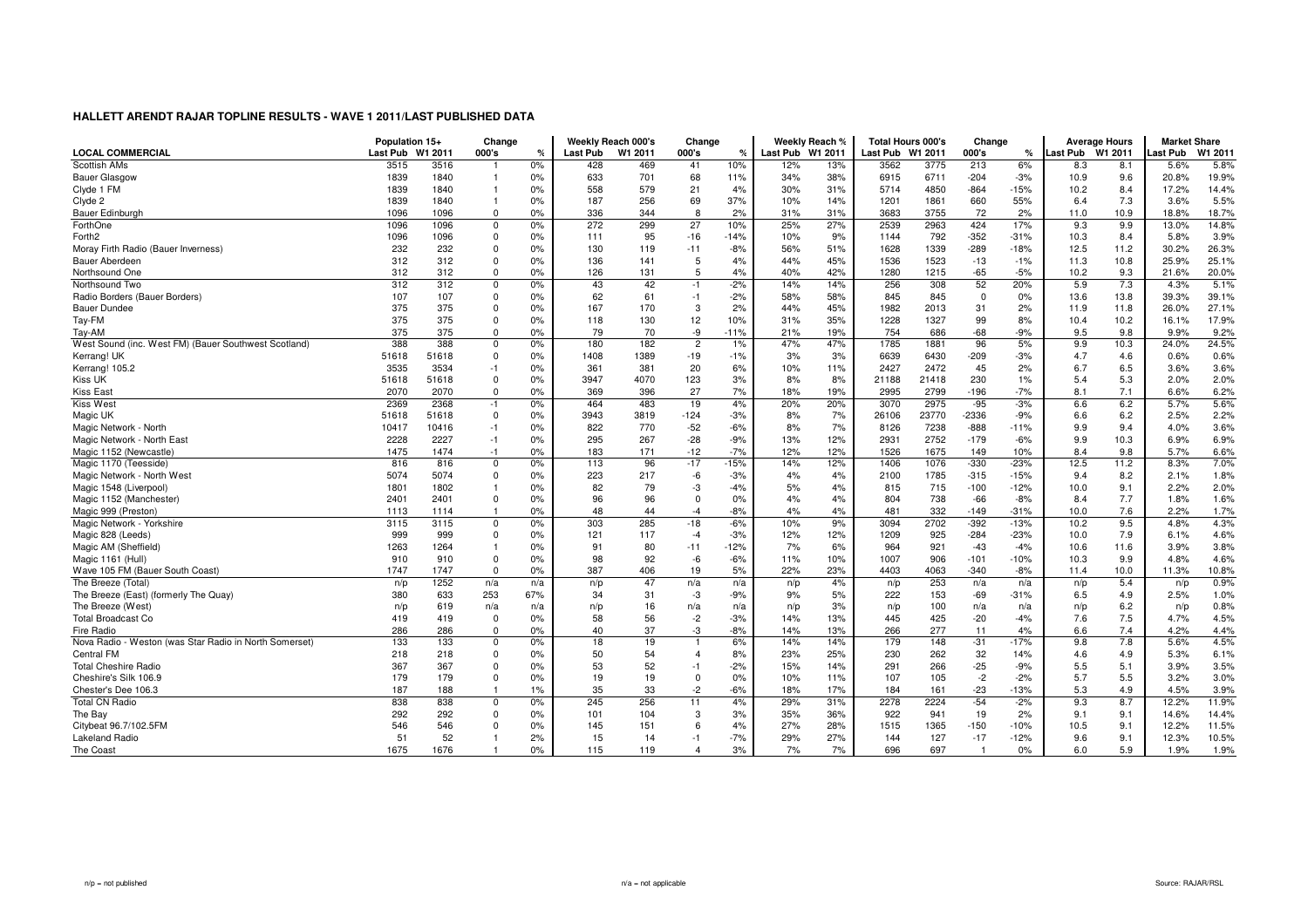|                                                        | Population 15+ |             | Change       |     |          | Weekly Reach 000's | Change         |        |                  | Weekly Reach % |                  | <b>Total Hours 000's</b> | Change      |        |                  | <b>Average Hours</b> | <b>Market Share</b> |         |
|--------------------------------------------------------|----------------|-------------|--------------|-----|----------|--------------------|----------------|--------|------------------|----------------|------------------|--------------------------|-------------|--------|------------------|----------------------|---------------------|---------|
| <b>LOCAL COMMERCIAL</b>                                | Last Pub       | W1 2011     | 000's        | %   | Last Pub | W1 2011            | 000's          | %      | Last Pub W1 2011 |                | Last Pub W1 2011 |                          | 000's       | ℀      | Last Pub W1 2011 |                      | ast Pub             | W1 2011 |
| Scottish AMs                                           | 3515           | 3516        |              | 0%  | 428      | 469                | 41             | 10%    | 12%              | 13%            | 3562             | 3775                     | 213         | 6%     | 8.3              | 8.1                  | 5.6%                | 5.8%    |
| <b>Bauer Glasgow</b>                                   | 1839           | 1840        |              | 0%  | 633      | 701                | 68             | 11%    | 34%              | 38%            | 6915             | 6711                     | $-204$      | $-3%$  | 10.9             | 9.6                  | 20.8%               | 19.9%   |
| Clyde 1 FM                                             | 1839           | 1840        | 1            | 0%  | 558      | 579                | 21             | 4%     | 30%              | 31%            | 5714             | 4850                     | $-864$      | $-15%$ | 10.2             | 8.4                  | 17.2%               | 14.4%   |
| Clyde 2                                                | 1839           | 1840        | 1            | 0%  | 187      | 256                | 69             | 37%    | 10%              | 14%            | 1201             | 1861                     | 660         | 55%    | 6.4              | 7.3                  | 3.6%                | 5.5%    |
| Bauer Edinburgh                                        | 1096           | 1096        | $\Omega$     | 0%  | 336      | 344                | 8              | 2%     | 31%              | 31%            | 3683             | 3755                     | 72          | 2%     | 11.0             | 10.9                 | 18.8%               | 18.7%   |
| ForthOne                                               | 1096           | 1096        | $\Omega$     | 0%  | 272      | 299                | 27             | 10%    | 25%              | 27%            | 2539             | 2963                     | 424         | 17%    | 9.3              | 9.9                  | 13.0%               | 14.8%   |
| Forth <sub>2</sub>                                     | 1096           | 1096        | $\Omega$     | 0%  | 111      | 95                 | $-16$          | $-14%$ | 10%              | 9%             | 1144             | 792                      | $-352$      | $-31%$ | 10.3             | 8.4                  | 5.8%                | 3.9%    |
| Moray Firth Radio (Bauer Inverness)                    | 232            | 232         | $\Omega$     | 0%  | 130      | 119                | $-11$          | $-8%$  | 56%              | 51%            | 1628             | 1339                     | $-289$      | $-18%$ | 12.5             | 11.2                 | 30.2%               | 26.3%   |
| <b>Bauer Aberdeen</b>                                  | 312            | 312         | $\mathbf 0$  | 0%  | 136      | 141                | 5              | 4%     | 44%              | 45%            | 1536             | 1523                     | $-13$       | $-1%$  | 11.3             | 10.8                 | 25.9%               | 25.1%   |
| Northsound One                                         | 312            | 312         | $\Omega$     | 0%  | 126      | 131                | 5              | 4%     | 40%              | 42%            | 1280             | 1215                     | $-65$       | $-5%$  | 10.2             | 9.3                  | 21.6%               | 20.0%   |
| Northsound Two                                         | 312            | 312         | $\mathbf 0$  | 0%  | 43       | 42                 | $-1$           | $-2%$  | 14%              | 14%            | 256              | 308                      | 52          | 20%    | 5.9              | 7.3                  | 4.3%                | 5.1%    |
| Radio Borders (Bauer Borders)                          | 107            | 107         | $\Omega$     | 0%  | 62       | 61                 | $-1$           | $-2%$  | 58%              | 58%            | 845              | 845                      | $\mathbf 0$ | 0%     | 13.6             | 13.8                 | 39.3%               | 39.1%   |
| <b>Bauer Dundee</b>                                    | 375            | 375         | $\Omega$     | 0%  | 167      | 170                | 3              | 2%     | 44%              | 45%            | 1982             | 2013                     | 31          | 2%     | 11.9             | 11.8                 | 26.0%               | 27.1%   |
| Tay-FM                                                 | 375            | 375         | $\mathbf 0$  | 0%  | 118      | 130                | 12             | 10%    | 31%              | 35%            | 1228             | 1327                     | 99          | 8%     | 10.4             | 10.2                 | 16.1%               | 17.9%   |
| Tay-AM                                                 | 375            | 375         | $\Omega$     | 0%  | 79       | 70                 | -9             | $-11%$ | 21%              | 19%            | 754              | 686                      | $-68$       | $-9%$  | 9.5              | 9.8                  | 9.9%                | 9.2%    |
| West Sound (inc. West FM) (Bauer Southwest Scotland)   | 388            | 388         | 0            | 0%  | 180      | 182                | $\overline{2}$ | 1%     | 47%              | 47%            | 1785             | 1881                     | 96          | 5%     | 9.9              | 10.3                 | 24.0%               | 24.5%   |
| Kerrang! UK                                            | 51618          | 51618       | $\Omega$     | 0%  | 1408     | 1389               | $-19$          | $-1%$  | 3%               | 3%             | 6639             | 6430                     | $-209$      | $-3%$  | 4.7              | 4.6                  | 0.6%                | 0.6%    |
| Kerrang! 105.2                                         | 3535           | 3534        | $-1$         | 0%  | 361      | 381                | 20             | 6%     | 10%              | 11%            | 2427             | 2472                     | 45          | 2%     | 6.7              | 6.5                  | 3.6%                | 3.6%    |
| <b>Kiss UK</b>                                         | 51618          | 51618       | $\Omega$     | 0%  | 3947     | 4070               | 123            | 3%     | 8%               | 8%             | 21188            | 21418                    | 230         | 1%     | 5.4              | 5.3                  | 2.0%                | 2.0%    |
| <b>Kiss East</b>                                       | 2070           | 2070        | $\Omega$     | 0%  | 369      | 396                | 27             | 7%     | 18%              | 19%            | 2995             | 2799                     | $-196$      | $-7%$  | 8.1              | 7.1                  | 6.6%                | 6.2%    |
| Kiss West                                              | 2369           | 2368        | $-1$         | 0%  | 464      | 483                | 19             | 4%     | 20%              | 20%            | 3070             | 2975                     | $-95$       | $-3%$  | 6.6              | 6.2                  | 5.7%                | 5.6%    |
| Magic UK                                               | 51618          | 51618       | $^{\circ}$   | 0%  | 3943     | 3819               | $-124$         | $-3%$  | 8%               | 7%             | 26106            | 23770                    | $-2336$     | $-9%$  | 6.6              | 6.2                  | 2.5%                | 2.2%    |
| Magic Network - North                                  | 10417          | 10416       | $-1$         | 0%  | 822      | 770                | $-52$          | $-6%$  | 8%               | 7%             | 8126             | 7238                     | $-888$      | $-11%$ | 9.9              | 9.4                  | 4.0%                | 3.6%    |
| Magic Network - North East                             | 2228           | 2227        | $-1$         | 0%  | 295      | 267                | $-28$          | $-9%$  | 13%              | 12%            | 2931             | 2752                     | $-179$      | $-6%$  | 9.9              | 10.3                 | 6.9%                | 6.9%    |
| Magic 1152 (Newcastle)                                 | 1475           |             | $-1$         | 0%  | 183      | 171                | $-12$          | $-7%$  | 12%              | 12%            | 1526             | 1675                     | 149         | 10%    | 8.4              | 9.8                  | 5.7%                | 6.6%    |
|                                                        | 816            | 1474<br>816 | $\Omega$     | 0%  | 113      | 96                 | $-17$          | $-15%$ | 14%              | 12%            | 1406             | 1076                     | $-330$      | $-23%$ | 12.5             | 11.2                 | 8.3%                | 7.0%    |
| Magic 1170 (Teesside)                                  |                |             |              |     |          |                    |                |        |                  |                |                  |                          |             |        |                  |                      |                     |         |
| Magic Network - North West                             | 5074           | 5074        | $\Omega$     | 0%  | 223      | 217                | -6             | $-3%$  | 4%               | 4%             | 2100             | 1785                     | $-315$      | $-15%$ | 9.4              | 8.2                  | 2.1%                | 1.8%    |
| Magic 1548 (Liverpool)                                 | 1801           | 1802        | 1            | 0%  | 82       | 79                 | -3             | $-4%$  | 5%               | 4%             | 815              | 715                      | $-100$      | $-12%$ | 10.0             | 9.1                  | 2.2%                | 2.0%    |
| Magic 1152 (Manchester)                                | 2401           | 2401        | $\mathbf 0$  | 0%  | 96       | 96                 | $\mathbf 0$    | 0%     | 4%               | 4%             | 804              | 738                      | $-66$       | $-8%$  | 8.4              | 7.7                  | 1.8%                | 1.6%    |
| Magic 999 (Preston)                                    | 1113           | 1114        |              | 0%  | 48       | 44                 | $-4$           | $-8%$  | 4%               | 4%             | 481              | 332                      | $-149$      | $-31%$ | 10.0             | 7.6                  | 2.2%                | 1.7%    |
| Magic Network - Yorkshire                              | 3115           | 3115        | $\Omega$     | 0%  | 303      | 285                | $-18$          | $-6%$  | 10%              | 9%             | 3094             | 2702                     | $-392$      | $-13%$ | 10.2             | 9.5                  | 4.8%                | 4.3%    |
| Magic 828 (Leeds)                                      | 999            | 999         | $\Omega$     | 0%  | 121      | 117                | $-4$           | $-3%$  | 12%              | 12%            | 1209             | 925                      | $-284$      | $-23%$ | 10.0             | 7.9                  | 6.1%                | 4.6%    |
| Magic AM (Sheffield)                                   | 1263           | 1264        | 1            | 0%  | 91       | 80                 | $-11$          | $-12%$ | 7%               | 6%             | 964              | 921                      | $-43$       | $-4%$  | 10.6             | 11.6                 | 3.9%                | 3.8%    |
| Magic 1161 (Hull)                                      | 910            | 910         | $\mathbf 0$  | 0%  | 98       | 92                 | -6             | $-6%$  | 11%              | 10%            | 1007             | 906                      | $-101$      | $-10%$ | 10.3             | 9.9                  | 4.8%                | 4.6%    |
| Wave 105 FM (Bauer South Coast)                        | 1747           | 1747        | $\Omega$     | 0%  | 387      | 406                | 19             | 5%     | 22%              | 23%            | 4403             | 4063                     | $-340$      | $-8%$  | 11.4             | 10.0                 | 11.3%               | 10.8%   |
| The Breeze (Total)                                     | n/p            | 1252        | n/a          | n/a | n/p      | 47                 | n/a            | n/a    | n/p              | 4%             | n/p              | 253                      | n/a         | n/a    | n/p              | 5.4                  | n/p                 | 0.9%    |
| The Breeze (East) (formerly The Quay)                  | 380            | 633         | 253          | 67% | 34       | 31                 | -3             | $-9%$  | 9%               | 5%             | 222              | 153                      | $-69$       | -31%   | 6.5              | 4.9                  | 2.5%                | 1.0%    |
| The Breeze (West)                                      | n/p            | 619         | n/a          | n/a | n/p      | 16                 | n/a            | n/a    | n/p              | 3%             | n/p              | 100                      | n/a         | n/a    | n/p              | 6.2                  | n/p                 | 0.8%    |
| <b>Total Broadcast Co</b>                              | 419            | 419         | $\mathbf{0}$ | 0%  | 58       | 56                 | $-2$           | $-3%$  | 14%              | 13%            | 445              | 425                      | $-20$       | $-4%$  | 7.6              | 7.5                  | 4.7%                | 4.5%    |
| Fire Radio                                             | 286            | 286         | $\Omega$     | 0%  | 40       | 37                 | -3             | $-8%$  | 14%              | 13%            | 266              | 277                      | 11          | 4%     | 6.6              | 7.4                  | 4.2%                | 4.4%    |
| Nova Radio - Weston (was Star Radio in North Somerset) | 133            | 133         | $\mathbf 0$  | 0%  | 18       | 19                 | $\overline{1}$ | 6%     | 14%              | 14%            | 179              | 148                      | $-31$       | $-17%$ | 9.8              | 7.8                  | 5.6%                | 4.5%    |
| Central FM                                             | 218            | 218         | $\Omega$     | 0%  | 50       | 54                 | $\overline{4}$ | 8%     | 23%              | 25%            | 230              | 262                      | 32          | 14%    | 4.6              | 4.9                  | 5.3%                | 6.1%    |
| <b>Total Cheshire Radio</b>                            | 367            | 367         | $\Omega$     | 0%  | 53       | 52                 | $-1$           | $-2%$  | 15%              | 14%            | 291              | 266                      | $-25$       | $-9%$  | 5.5              | 5.1                  | 3.9%                | 3.5%    |
| Cheshire's Silk 106.9                                  | 179            | 179         | $\mathbf 0$  | 0%  | 19       | 19                 | $\mathbf 0$    | 0%     | 10%              | 11%            | 107              | 105                      | $-2$        | $-2%$  | 5.7              | 5.5                  | 3.2%                | 3.0%    |
| Chester's Dee 106.3                                    | 187            | 188         |              | 1%  | 35       | 33                 | $-2$           | $-6%$  | 18%              | 17%            | 184              | 161                      | $-23$       | $-13%$ | 5.3              | 4.9                  | 4.5%                | 3.9%    |
| <b>Total CN Radio</b>                                  | 838            | 838         | $\Omega$     | 0%  | 245      | 256                | 11             | 4%     | 29%              | 31%            | 2278             | 2224                     | $-54$       | $-2%$  | 9.3              | 8.7                  | 12.2%               | 11.9%   |
| The Bay                                                | 292            | 292         | $\mathbf 0$  | 0%  | 101      | 104                | 3              | 3%     | 35%              | 36%            | 922              | 941                      | 19          | 2%     | 9.1              | 9.1                  | 14.6%               | 14.4%   |
| Citybeat 96.7/102.5FM                                  | 546            | 546         | $\Omega$     | 0%  | 145      | 151                | 6              | 4%     | 27%              | 28%            | 1515             | 1365                     | $-150$      | $-10%$ | 10.5             | 9.1                  | 12.2%               | 11.5%   |
| <b>Lakeland Radio</b>                                  | 51             | 52          |              | 2%  | 15       | 14                 | $-1$           | $-7%$  | 29%              | 27%            | 144              | 127                      | $-17$       | $-12%$ | 9.6              | 9.1                  | 12.3%               | 10.5%   |
| The Coast                                              | 1675           | 1676        | -1           | 0%  | 115      | 119                | $\overline{4}$ | 3%     | 7%               | 7%             | 696              | 697                      | -1          | 0%     | 6.0              | 5.9                  | 1.9%                | 1.9%    |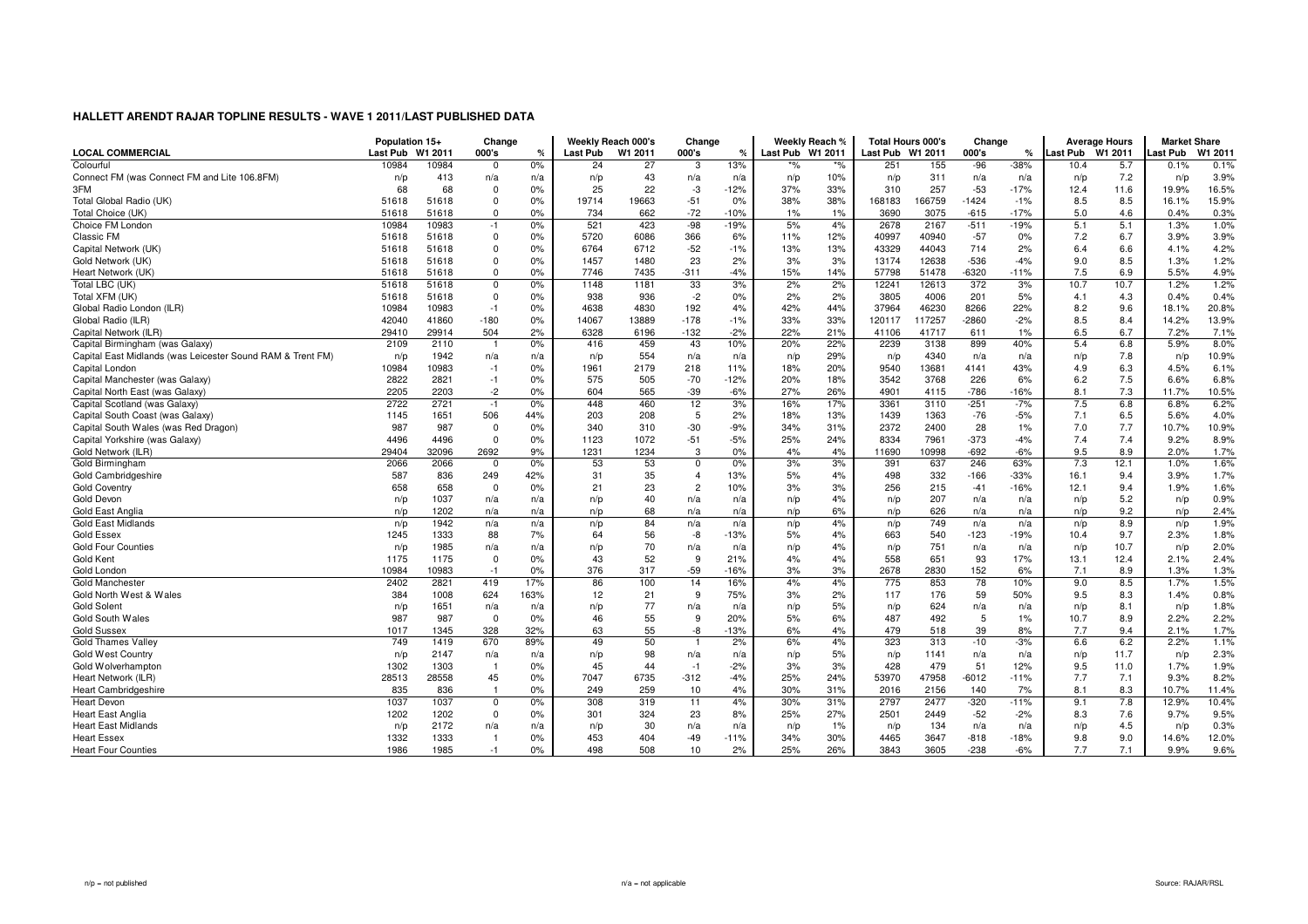| Last Pub W1 2011<br>Last Pub W1 2011<br>Colourful<br>13%<br>$\frac{1}{2}$<br>10984<br>10984<br>0%<br>27<br>251<br>155<br>$-96$<br>$-38%$<br>10.4<br>0.1%<br>24<br>3<br>%'<br>5.7<br>$\Omega$<br>0.1%<br>Connect FM (was Connect FM and Lite 106.8FM)<br>3.9%<br>413<br>43<br>10%<br>311<br>7.2<br>n/p<br>n/a<br>n/a<br>n/p<br>n/a<br>n/p<br>n/p<br>n/a<br>n/p<br>n/a<br>n/a<br>n/p<br>16.5%<br>3FM<br>68<br>68<br>0%<br>25<br>22<br>-3<br>$-12%$<br>33%<br>310<br>257<br>$-53$<br>$-17%$<br>11.6<br>$\mathbf 0$<br>37%<br>12.4<br>19.9%<br>15.9%<br>0%<br>19663<br>$-51$<br>0%<br>38%<br>38%<br>166759<br>$-1424$<br>8.5<br>8.5<br>Total Global Radio (UK)<br>51618<br>$\Omega$<br>19714<br>168183<br>$-1%$<br>16.1%<br>51618<br>0%<br>734<br>$-72$<br>3075<br>$-615$<br>$-17%$<br>5.0<br>0.3%<br>Total Choice (UK)<br>51618<br>$\mathbf 0$<br>662<br>$-10%$<br>1%<br>1%<br>3690<br>4.6<br>0.4%<br>51618<br>$-98$<br>$-19%$<br>1.0%<br>Choice FM London<br>10984<br>10983<br>521<br>423<br>5%<br>4%<br>2678<br>2167<br>$-511$<br>$-19%$<br>5.1<br>5.1<br>1.3%<br>0%<br>$-1$<br>Classic FM<br>3.9%<br>51618<br>51618<br>$\Omega$<br>0%<br>5720<br>6086<br>366<br>6%<br>11%<br>12%<br>40997<br>40940<br>$-57$<br>0%<br>7.2<br>6.7<br>3.9%<br>0%<br>6764<br>$-52$<br>$-1%$<br>13%<br>43329<br>4.2%<br>Capital Network (UK)<br>51618<br>$\Omega$<br>6712<br>13%<br>44043<br>714<br>2%<br>6.4<br>6.6<br>4.1%<br>51618<br>1.2%<br>51618<br>51618<br>$\Omega$<br>0%<br>1457<br>1480<br>23<br>2%<br>3%<br>3%<br>13174<br>12638<br>$-536$<br>$-4%$<br>9.0<br>8.5<br>1.3%<br>Gold Network (UK)<br>0%<br>$-4%$<br>-6320<br>7.5<br>5.5%<br>4.9%<br>Heart Network (UK)<br>51618<br>51618<br>$\Omega$<br>7746<br>7435<br>$-311$<br>15%<br>14%<br>57798<br>51478<br>$-11%$<br>6.9<br>1.2%<br>Total LBC (UK)<br>51618<br>33<br>3%<br>2%<br>2%<br>10.7<br>51618<br>0%<br>1148<br>1181<br>12613<br>372<br>3%<br>10.7<br>1.2%<br>$\mathbf 0$<br>12241<br>Total XFM (UK)<br>51618<br>$\Omega$<br>0%<br>938<br>$-2$<br>0%<br>2%<br>2%<br>3805<br>4006<br>201<br>5%<br>4.3<br>0.4%<br>0.4%<br>51618<br>936<br>4.1<br>10983<br>4638<br>192<br>42%<br>37964<br>46230<br>8.2<br>20.8%<br>Global Radio London (ILR)<br>10984<br>$-1$<br>0%<br>4830<br>4%<br>44%<br>8266<br>22%<br>9.6<br>18.1%<br>$-180$<br>0%<br>$-178$<br>$-1%$<br>33%<br>$-2860$<br>8.5<br>13.9%<br>Global Radio (ILR)<br>42040<br>41860<br>14067<br>13889<br>33%<br>117257<br>$-2%$<br>8.4<br>14.2%<br>120117<br>$-132$<br>6.5<br>29914<br>504<br>2%<br>6328<br>$-2%$<br>22%<br>21%<br>41717<br>611<br>6.7<br>7.2%<br>7.1%<br>Capital Network (ILR)<br>29410<br>6196<br>41106<br>1%<br>0%<br>459<br>43<br>10%<br>20%<br>22%<br>2239<br>899<br>40%<br>5.4<br>6.8<br>5.9%<br>8.0%<br>Capital Birmingham (was Galaxy)<br>2109<br>2110<br>416<br>3138<br>Capital East Midlands (was Leicester Sound RAM & Trent FM)<br>1942<br>554<br>29%<br>4340<br>10.9%<br>n/p<br>n/p<br>7.8<br>n/p<br>n/a<br>n/a<br>n/p<br>n/a<br>n/a<br>n/p<br>n/a<br>n/a<br>n/p<br>10984<br>10983<br>0%<br>2179<br>11%<br>20%<br>9540<br>13681<br>43%<br>6.3<br>4.5%<br>6.1%<br>Capital London<br>1961<br>218<br>18%<br>4141<br>4.9<br>$-1$<br>2821<br>0%<br>575<br>505<br>$-70$<br>$-12%$<br>18%<br>3542<br>3768<br>226<br>6.2<br>7.5<br>6.8%<br>Capital Manchester (was Galaxy)<br>2822<br>$-1$<br>20%<br>6%<br>6.6%<br>2205<br>2203<br>$-2$<br>0%<br>604<br>565<br>$-39$<br>$-6%$<br>27%<br>26%<br>4901<br>$-786$<br>8.1<br>7.3<br>11.7%<br>10.5%<br>Capital North East (was Galaxy)<br>4115<br>$-16%$<br>6.2%<br>Capital Scotland (was Galaxy)<br>2722<br>2721<br>448<br>460<br>12<br>3%<br>3361<br>3110<br>$-251$<br>$-7%$<br>7.5<br>6.8<br>6.8%<br>0%<br>16%<br>17%<br>$-1$<br>1651<br>5<br>1363<br>4.0%<br>Capital South Coast (was Galaxy)<br>1145<br>506<br>44%<br>203<br>208<br>2%<br>13%<br>1439<br>$-76$<br>$-5%$<br>7.1<br>6.5<br>5.6%<br>18%<br>$-30$<br>10.9%<br>Capital South Wales (was Red Dragon)<br>987<br>987<br>$\Omega$<br>0%<br>340<br>310<br>$-9%$<br>34%<br>31%<br>2372<br>2400<br>28<br>1%<br>7.0<br>7.7<br>10.7%<br>8.9%<br>0%<br>$-5%$<br>24%<br>8334<br>$-373$<br>7.4<br>7.4<br>Capital Yorkshire (was Galaxy)<br>4496<br>4496<br>$\mathbf 0$<br>1123<br>1072<br>$-51$<br>25%<br>7961<br>$-4%$<br>9.2%<br>9.5<br>1.7%<br>2692<br>9%<br>1231<br>1234<br>3<br>0%<br>4%<br>4%<br>10998<br>$-692$<br>$-6%$<br>8.9<br>Gold Network (ILR)<br>29404<br>32096<br>11690<br>2.0%<br>Gold Birmingham<br>1.6%<br>2066<br>2066<br>0%<br>53<br>53<br>0%<br>3%<br>3%<br>391<br>637<br>246<br>63%<br>7.3<br>12.1<br>1.0%<br>$\Omega$<br>$\Omega$<br>587<br>332<br>1.7%<br>Gold Cambridgeshire<br>836<br>249<br>42%<br>31<br>35<br>$\overline{4}$<br>13%<br>5%<br>4%<br>498<br>$-166$<br>$-33%$<br>16.1<br>9.4<br>3.9%<br>$\overline{c}$<br>1.6%<br>658<br>658<br>0%<br>21<br>23<br>10%<br>3%<br>3%<br>256<br>215<br>$-16%$<br>12.1<br><b>Gold Coventry</b><br>$\mathbf 0$<br>$-41$<br>9.4<br>1.9%<br>207<br>0.9%<br>Gold Devon<br>1037<br>40<br>4%<br>5.2<br>n/p<br>n/a<br>n/p<br>n/p<br>n/p<br>n/a<br>n/a<br>n/a<br>n/p<br>n/a<br>n/a<br>n/p<br>Gold East Anglia<br>1202<br>68<br>6%<br>626<br>9.2<br>2.4%<br>n/p<br>n/a<br>n/a<br>n/p<br>n/a<br>n/a<br>n/p<br>n/p<br>n/a<br>n/a<br>n/p<br>n/p<br>84<br>4%<br>1.9%<br><b>Gold East Midlands</b><br>1942<br>749<br>8.9<br>n/p<br>n/a<br>n/a<br>n/p<br>n/a<br>n/a<br>n/p<br>n/a<br>n/a<br>n/p<br>n/p<br>n/p<br>1.8%<br>1333<br>88<br>7%<br>56<br>5%<br>540<br>$-123$<br><b>Gold Essex</b><br>1245<br>64<br>-8<br>$-13%$<br>4%<br>663<br>$-19%$<br>10.4<br>9.7<br>2.3%<br>2.0%<br><b>Gold Four Counties</b><br>1985<br>70<br>4%<br>751<br>10.7<br>n/p<br>n/a<br>n/a<br>n/p<br>n/a<br>n/a<br>n/p<br>n/p<br>n/a<br>n/a<br>n/p<br>n/p<br>52<br>558<br>2.4%<br>1175<br>1175<br>$\mathbf 0$<br>0%<br>43<br>9<br>21%<br>4%<br>4%<br>651<br>93<br>17%<br>13.1<br>12.4<br>2.1%<br>Gold Kent<br>317<br>$-59$<br>152<br>10984<br>10983<br>0%<br>376<br>$-16%$<br>3%<br>3%<br>2678<br>2830<br>6%<br>7.1<br>1.3%<br>1.3%<br>Gold London<br>$-1$<br>8.9<br>1.5%<br>2821<br>17%<br>86<br>100<br>14<br>16%<br>4%<br>4%<br>775<br>853<br>78<br>10%<br>9.0<br>8.5<br><b>Gold Manchester</b><br>2402<br>419<br>1.7%<br>624<br>9<br>3%<br>2%<br>59<br>9.5<br>0.8%<br>Gold North West & Wales<br>384<br>1008<br>163%<br>12<br>21<br>75%<br>117<br>176<br>50%<br>8.3<br>1.4%<br>77<br>5%<br>1.8%<br><b>Gold Solent</b><br>1651<br>624<br>n/p<br>8.1<br>n/p<br>n/a<br>n/a<br>n/p<br>n/a<br>n/a<br>n/p<br>n/p<br>n/a<br>n/p<br>n/a<br>987<br>987<br>0%<br>46<br>55<br>9<br>20%<br>5%<br>6%<br>487<br>492<br>5<br>2.2%<br>2.2%<br>Gold South Wales<br>$\mathbf{0}$<br>1%<br>10.7<br>8.9<br>55<br><b>Gold Sussex</b><br>328<br>32%<br>63<br>-8<br>$-13%$<br>6%<br>4%<br>479<br>518<br>39<br>8%<br>7.7<br>1.7%<br>1017<br>1345<br>9.4<br>2.1%<br>50<br>323<br>749<br>1419<br>670<br>89%<br>49<br>6.6<br>6.2<br>2.2%<br>1.1%<br><b>Gold Thames Valley</b><br>2%<br>6%<br>4%<br>313<br>$-10$<br>$-3%$<br>$\overline{1}$<br>2.3%<br>98<br>5%<br>1141<br>Gold West Country<br>n/p<br>2147<br>n/p<br>n/p<br>n/p<br>11.7<br>n/a<br>n/a<br>n/a<br>n/a<br>n/p<br>n/a<br>n/a<br>n/p<br>1302<br>1303<br>0%<br>45<br>44<br>$-2%$<br>3%<br>3%<br>428<br>479<br>51<br>12%<br>9.5<br>1.7%<br>1.9%<br>Gold Wolverhampton<br>$-1$<br>11.0<br>$\overline{1}$<br>28558<br>45<br>7047<br>6735<br>25%<br>47958<br>7.7<br>7.1<br>8.2%<br>Heart Network (ILR)<br>28513<br>0%<br>$-312$<br>$-4%$<br>24%<br>53970<br>$-6012$<br>$-11%$<br>9.3%<br>836<br>0%<br>249<br>259<br>10<br>4%<br>30%<br>31%<br>2156<br>140<br>8.1<br>8.3<br>10.7%<br><b>Heart Cambridgeshire</b><br>835<br>$\overline{1}$<br>2016<br>7%<br>11.4%<br>1037<br>308<br>4%<br>2797<br>2477<br>7.8<br>10.4%<br><b>Heart Devon</b><br>1037<br>0%<br>319<br>11<br>30%<br>31%<br>$-320$<br>$-11%$<br>9.1<br>12.9%<br>$\mathbf 0$<br>9.5%<br><b>Heart East Anglia</b><br>1202<br>1202<br>$\mathbf 0$<br>0%<br>301<br>324<br>23<br>8%<br>25%<br>27%<br>2501<br>2449<br>$-52$<br>$-2%$<br>8.3<br>7.6<br>9.7%<br>2172<br>30<br>134<br>4.5<br>0.3%<br><b>Heart East Midlands</b><br>1%<br>n/p<br>n/p<br>n/a<br>n/a<br>n/p<br>n/a<br>n/a<br>n/p<br>n/a<br>n/p<br>n/p<br>n/a<br>0%<br>$-49$<br>3647<br>9.8<br>12.0%<br><b>Heart Essex</b><br>1332<br>1333<br>453<br>404<br>$-11%$<br>34%<br>30%<br>4465<br>$-818$<br>$-18%$<br>9.0<br>14.6%<br>26%<br>7.7<br>9.6%<br>1986<br>1985<br>$-1$<br>0%<br>498<br>508<br>10<br>2%<br>25%<br>3843<br>3605<br>$-238$<br>$-6%$<br>7.1<br>9.9%<br>Heart Four Counties | <b>LOCAL COMMERCIAL</b> | Population 15+<br>Last Pub | W1 2011 | Change<br>000's | $\%$ | <b>Last Pub</b> | Weekly Reach 000's<br>W1 2011 | Change<br>000's | % | Weekly Reach % | <b>Total Hours 000's</b> | Change<br>000's | ℀ | <b>Last Pub</b> | <b>Average Hours</b><br>W1 2011 | <b>Market Share</b><br>Last Pub | W1 2011 |
|-----------------------------------------------------------------------------------------------------------------------------------------------------------------------------------------------------------------------------------------------------------------------------------------------------------------------------------------------------------------------------------------------------------------------------------------------------------------------------------------------------------------------------------------------------------------------------------------------------------------------------------------------------------------------------------------------------------------------------------------------------------------------------------------------------------------------------------------------------------------------------------------------------------------------------------------------------------------------------------------------------------------------------------------------------------------------------------------------------------------------------------------------------------------------------------------------------------------------------------------------------------------------------------------------------------------------------------------------------------------------------------------------------------------------------------------------------------------------------------------------------------------------------------------------------------------------------------------------------------------------------------------------------------------------------------------------------------------------------------------------------------------------------------------------------------------------------------------------------------------------------------------------------------------------------------------------------------------------------------------------------------------------------------------------------------------------------------------------------------------------------------------------------------------------------------------------------------------------------------------------------------------------------------------------------------------------------------------------------------------------------------------------------------------------------------------------------------------------------------------------------------------------------------------------------------------------------------------------------------------------------------------------------------------------------------------------------------------------------------------------------------------------------------------------------------------------------------------------------------------------------------------------------------------------------------------------------------------------------------------------------------------------------------------------------------------------------------------------------------------------------------------------------------------------------------------------------------------------------------------------------------------------------------------------------------------------------------------------------------------------------------------------------------------------------------------------------------------------------------------------------------------------------------------------------------------------------------------------------------------------------------------------------------------------------------------------------------------------------------------------------------------------------------------------------------------------------------------------------------------------------------------------------------------------------------------------------------------------------------------------------------------------------------------------------------------------------------------------------------------------------------------------------------------------------------------------------------------------------------------------------------------------------------------------------------------------------------------------------------------------------------------------------------------------------------------------------------------------------------------------------------------------------------------------------------------------------------------------------------------------------------------------------------------------------------------------------------------------------------------------------------------------------------------------------------------------------------------------------------------------------------------------------------------------------------------------------------------------------------------------------------------------------------------------------------------------------------------------------------------------------------------------------------------------------------------------------------------------------------------------------------------------------------------------------------------------------------------------------------------------------------------------------------------------------------------------------------------------------------------------------------------------------------------------------------------------------------------------------------------------------------------------------------------------------------------------------------------------------------------------------------------------------------------------------------------------------------------------------------------------------------------------------------------------------------------------------------------------------------------------------------------------------------------------------------------------------------------------------------------------------------------------------------------------------------------------------------------------------------------------------------------------------------------------------------------------------------------------------------------------------------------------------------------------------------------------------------------------------------------------------------------------------------------------------------------------------------------------------------------------------------------------------------------------------------------------------------------------------------------------------------------------------------------------------------------------------------------------------------------------------------------------------------------------------------------------------------------------------------------------------------------------------------------------------------------------------------------------------------------------------------------------------------------------------------------------------------------------------------------------------------------------------------------------------------------------------------------------------------------------------------------------------------------------------------------------------------------------------------------------------------------------------------------------------------------------------------------------------------------------------------------------------------------------------------------------------------------------------------------------------------------------------------------------------------------------------------------------------------------------------------------------------------------------------------------------------------------------------------------------------------------------------------------------------------------------------------------------------------------------------------------------------------------------------------------------------------------------------------------------------------------------------------------------------------------------------------------------------------------------------------------------------------------------------------------------------------------------------------------|-------------------------|----------------------------|---------|-----------------|------|-----------------|-------------------------------|-----------------|---|----------------|--------------------------|-----------------|---|-----------------|---------------------------------|---------------------------------|---------|
|                                                                                                                                                                                                                                                                                                                                                                                                                                                                                                                                                                                                                                                                                                                                                                                                                                                                                                                                                                                                                                                                                                                                                                                                                                                                                                                                                                                                                                                                                                                                                                                                                                                                                                                                                                                                                                                                                                                                                                                                                                                                                                                                                                                                                                                                                                                                                                                                                                                                                                                                                                                                                                                                                                                                                                                                                                                                                                                                                                                                                                                                                                                                                                                                                                                                                                                                                                                                                                                                                                                                                                                                                                                                                                                                                                                                                                                                                                                                                                                                                                                                                                                                                                                                                                                                                                                                                                                                                                                                                                                                                                                                                                                                                                                                                                                                                                                                                                                                                                                                                                                                                                                                                                                                                                                                                                                                                                                                                                                                                                                                                                                                                                                                                                                                                                                                                                                                                                                                                                                                                                                                                                                                                                                                                                                                                                                                                                                                                                                                                                                                                                                                                                                                                                                                                                                                                                                                                                                                                                                                                                                                                                                                                                                                                                                                                                                                                                                                                                                                                                                                                                                                                                                                                                                                                                                                                                                                                                                                                                                                                                                                                                                                                                                                                                                                                                                                                                                                                                                                                         |                         |                            |         |                 |      |                 |                               |                 |   |                |                          |                 |   |                 |                                 |                                 |         |
|                                                                                                                                                                                                                                                                                                                                                                                                                                                                                                                                                                                                                                                                                                                                                                                                                                                                                                                                                                                                                                                                                                                                                                                                                                                                                                                                                                                                                                                                                                                                                                                                                                                                                                                                                                                                                                                                                                                                                                                                                                                                                                                                                                                                                                                                                                                                                                                                                                                                                                                                                                                                                                                                                                                                                                                                                                                                                                                                                                                                                                                                                                                                                                                                                                                                                                                                                                                                                                                                                                                                                                                                                                                                                                                                                                                                                                                                                                                                                                                                                                                                                                                                                                                                                                                                                                                                                                                                                                                                                                                                                                                                                                                                                                                                                                                                                                                                                                                                                                                                                                                                                                                                                                                                                                                                                                                                                                                                                                                                                                                                                                                                                                                                                                                                                                                                                                                                                                                                                                                                                                                                                                                                                                                                                                                                                                                                                                                                                                                                                                                                                                                                                                                                                                                                                                                                                                                                                                                                                                                                                                                                                                                                                                                                                                                                                                                                                                                                                                                                                                                                                                                                                                                                                                                                                                                                                                                                                                                                                                                                                                                                                                                                                                                                                                                                                                                                                                                                                                                                                         |                         |                            |         |                 |      |                 |                               |                 |   |                |                          |                 |   |                 |                                 |                                 |         |
|                                                                                                                                                                                                                                                                                                                                                                                                                                                                                                                                                                                                                                                                                                                                                                                                                                                                                                                                                                                                                                                                                                                                                                                                                                                                                                                                                                                                                                                                                                                                                                                                                                                                                                                                                                                                                                                                                                                                                                                                                                                                                                                                                                                                                                                                                                                                                                                                                                                                                                                                                                                                                                                                                                                                                                                                                                                                                                                                                                                                                                                                                                                                                                                                                                                                                                                                                                                                                                                                                                                                                                                                                                                                                                                                                                                                                                                                                                                                                                                                                                                                                                                                                                                                                                                                                                                                                                                                                                                                                                                                                                                                                                                                                                                                                                                                                                                                                                                                                                                                                                                                                                                                                                                                                                                                                                                                                                                                                                                                                                                                                                                                                                                                                                                                                                                                                                                                                                                                                                                                                                                                                                                                                                                                                                                                                                                                                                                                                                                                                                                                                                                                                                                                                                                                                                                                                                                                                                                                                                                                                                                                                                                                                                                                                                                                                                                                                                                                                                                                                                                                                                                                                                                                                                                                                                                                                                                                                                                                                                                                                                                                                                                                                                                                                                                                                                                                                                                                                                                                                         |                         |                            |         |                 |      |                 |                               |                 |   |                |                          |                 |   |                 |                                 |                                 |         |
|                                                                                                                                                                                                                                                                                                                                                                                                                                                                                                                                                                                                                                                                                                                                                                                                                                                                                                                                                                                                                                                                                                                                                                                                                                                                                                                                                                                                                                                                                                                                                                                                                                                                                                                                                                                                                                                                                                                                                                                                                                                                                                                                                                                                                                                                                                                                                                                                                                                                                                                                                                                                                                                                                                                                                                                                                                                                                                                                                                                                                                                                                                                                                                                                                                                                                                                                                                                                                                                                                                                                                                                                                                                                                                                                                                                                                                                                                                                                                                                                                                                                                                                                                                                                                                                                                                                                                                                                                                                                                                                                                                                                                                                                                                                                                                                                                                                                                                                                                                                                                                                                                                                                                                                                                                                                                                                                                                                                                                                                                                                                                                                                                                                                                                                                                                                                                                                                                                                                                                                                                                                                                                                                                                                                                                                                                                                                                                                                                                                                                                                                                                                                                                                                                                                                                                                                                                                                                                                                                                                                                                                                                                                                                                                                                                                                                                                                                                                                                                                                                                                                                                                                                                                                                                                                                                                                                                                                                                                                                                                                                                                                                                                                                                                                                                                                                                                                                                                                                                                                                         |                         |                            |         |                 |      |                 |                               |                 |   |                |                          |                 |   |                 |                                 |                                 |         |
|                                                                                                                                                                                                                                                                                                                                                                                                                                                                                                                                                                                                                                                                                                                                                                                                                                                                                                                                                                                                                                                                                                                                                                                                                                                                                                                                                                                                                                                                                                                                                                                                                                                                                                                                                                                                                                                                                                                                                                                                                                                                                                                                                                                                                                                                                                                                                                                                                                                                                                                                                                                                                                                                                                                                                                                                                                                                                                                                                                                                                                                                                                                                                                                                                                                                                                                                                                                                                                                                                                                                                                                                                                                                                                                                                                                                                                                                                                                                                                                                                                                                                                                                                                                                                                                                                                                                                                                                                                                                                                                                                                                                                                                                                                                                                                                                                                                                                                                                                                                                                                                                                                                                                                                                                                                                                                                                                                                                                                                                                                                                                                                                                                                                                                                                                                                                                                                                                                                                                                                                                                                                                                                                                                                                                                                                                                                                                                                                                                                                                                                                                                                                                                                                                                                                                                                                                                                                                                                                                                                                                                                                                                                                                                                                                                                                                                                                                                                                                                                                                                                                                                                                                                                                                                                                                                                                                                                                                                                                                                                                                                                                                                                                                                                                                                                                                                                                                                                                                                                                                         |                         |                            |         |                 |      |                 |                               |                 |   |                |                          |                 |   |                 |                                 |                                 |         |
|                                                                                                                                                                                                                                                                                                                                                                                                                                                                                                                                                                                                                                                                                                                                                                                                                                                                                                                                                                                                                                                                                                                                                                                                                                                                                                                                                                                                                                                                                                                                                                                                                                                                                                                                                                                                                                                                                                                                                                                                                                                                                                                                                                                                                                                                                                                                                                                                                                                                                                                                                                                                                                                                                                                                                                                                                                                                                                                                                                                                                                                                                                                                                                                                                                                                                                                                                                                                                                                                                                                                                                                                                                                                                                                                                                                                                                                                                                                                                                                                                                                                                                                                                                                                                                                                                                                                                                                                                                                                                                                                                                                                                                                                                                                                                                                                                                                                                                                                                                                                                                                                                                                                                                                                                                                                                                                                                                                                                                                                                                                                                                                                                                                                                                                                                                                                                                                                                                                                                                                                                                                                                                                                                                                                                                                                                                                                                                                                                                                                                                                                                                                                                                                                                                                                                                                                                                                                                                                                                                                                                                                                                                                                                                                                                                                                                                                                                                                                                                                                                                                                                                                                                                                                                                                                                                                                                                                                                                                                                                                                                                                                                                                                                                                                                                                                                                                                                                                                                                                                                         |                         |                            |         |                 |      |                 |                               |                 |   |                |                          |                 |   |                 |                                 |                                 |         |
|                                                                                                                                                                                                                                                                                                                                                                                                                                                                                                                                                                                                                                                                                                                                                                                                                                                                                                                                                                                                                                                                                                                                                                                                                                                                                                                                                                                                                                                                                                                                                                                                                                                                                                                                                                                                                                                                                                                                                                                                                                                                                                                                                                                                                                                                                                                                                                                                                                                                                                                                                                                                                                                                                                                                                                                                                                                                                                                                                                                                                                                                                                                                                                                                                                                                                                                                                                                                                                                                                                                                                                                                                                                                                                                                                                                                                                                                                                                                                                                                                                                                                                                                                                                                                                                                                                                                                                                                                                                                                                                                                                                                                                                                                                                                                                                                                                                                                                                                                                                                                                                                                                                                                                                                                                                                                                                                                                                                                                                                                                                                                                                                                                                                                                                                                                                                                                                                                                                                                                                                                                                                                                                                                                                                                                                                                                                                                                                                                                                                                                                                                                                                                                                                                                                                                                                                                                                                                                                                                                                                                                                                                                                                                                                                                                                                                                                                                                                                                                                                                                                                                                                                                                                                                                                                                                                                                                                                                                                                                                                                                                                                                                                                                                                                                                                                                                                                                                                                                                                                                         |                         |                            |         |                 |      |                 |                               |                 |   |                |                          |                 |   |                 |                                 |                                 |         |
|                                                                                                                                                                                                                                                                                                                                                                                                                                                                                                                                                                                                                                                                                                                                                                                                                                                                                                                                                                                                                                                                                                                                                                                                                                                                                                                                                                                                                                                                                                                                                                                                                                                                                                                                                                                                                                                                                                                                                                                                                                                                                                                                                                                                                                                                                                                                                                                                                                                                                                                                                                                                                                                                                                                                                                                                                                                                                                                                                                                                                                                                                                                                                                                                                                                                                                                                                                                                                                                                                                                                                                                                                                                                                                                                                                                                                                                                                                                                                                                                                                                                                                                                                                                                                                                                                                                                                                                                                                                                                                                                                                                                                                                                                                                                                                                                                                                                                                                                                                                                                                                                                                                                                                                                                                                                                                                                                                                                                                                                                                                                                                                                                                                                                                                                                                                                                                                                                                                                                                                                                                                                                                                                                                                                                                                                                                                                                                                                                                                                                                                                                                                                                                                                                                                                                                                                                                                                                                                                                                                                                                                                                                                                                                                                                                                                                                                                                                                                                                                                                                                                                                                                                                                                                                                                                                                                                                                                                                                                                                                                                                                                                                                                                                                                                                                                                                                                                                                                                                                                                         |                         |                            |         |                 |      |                 |                               |                 |   |                |                          |                 |   |                 |                                 |                                 |         |
|                                                                                                                                                                                                                                                                                                                                                                                                                                                                                                                                                                                                                                                                                                                                                                                                                                                                                                                                                                                                                                                                                                                                                                                                                                                                                                                                                                                                                                                                                                                                                                                                                                                                                                                                                                                                                                                                                                                                                                                                                                                                                                                                                                                                                                                                                                                                                                                                                                                                                                                                                                                                                                                                                                                                                                                                                                                                                                                                                                                                                                                                                                                                                                                                                                                                                                                                                                                                                                                                                                                                                                                                                                                                                                                                                                                                                                                                                                                                                                                                                                                                                                                                                                                                                                                                                                                                                                                                                                                                                                                                                                                                                                                                                                                                                                                                                                                                                                                                                                                                                                                                                                                                                                                                                                                                                                                                                                                                                                                                                                                                                                                                                                                                                                                                                                                                                                                                                                                                                                                                                                                                                                                                                                                                                                                                                                                                                                                                                                                                                                                                                                                                                                                                                                                                                                                                                                                                                                                                                                                                                                                                                                                                                                                                                                                                                                                                                                                                                                                                                                                                                                                                                                                                                                                                                                                                                                                                                                                                                                                                                                                                                                                                                                                                                                                                                                                                                                                                                                                                                         |                         |                            |         |                 |      |                 |                               |                 |   |                |                          |                 |   |                 |                                 |                                 |         |
|                                                                                                                                                                                                                                                                                                                                                                                                                                                                                                                                                                                                                                                                                                                                                                                                                                                                                                                                                                                                                                                                                                                                                                                                                                                                                                                                                                                                                                                                                                                                                                                                                                                                                                                                                                                                                                                                                                                                                                                                                                                                                                                                                                                                                                                                                                                                                                                                                                                                                                                                                                                                                                                                                                                                                                                                                                                                                                                                                                                                                                                                                                                                                                                                                                                                                                                                                                                                                                                                                                                                                                                                                                                                                                                                                                                                                                                                                                                                                                                                                                                                                                                                                                                                                                                                                                                                                                                                                                                                                                                                                                                                                                                                                                                                                                                                                                                                                                                                                                                                                                                                                                                                                                                                                                                                                                                                                                                                                                                                                                                                                                                                                                                                                                                                                                                                                                                                                                                                                                                                                                                                                                                                                                                                                                                                                                                                                                                                                                                                                                                                                                                                                                                                                                                                                                                                                                                                                                                                                                                                                                                                                                                                                                                                                                                                                                                                                                                                                                                                                                                                                                                                                                                                                                                                                                                                                                                                                                                                                                                                                                                                                                                                                                                                                                                                                                                                                                                                                                                                                         |                         |                            |         |                 |      |                 |                               |                 |   |                |                          |                 |   |                 |                                 |                                 |         |
|                                                                                                                                                                                                                                                                                                                                                                                                                                                                                                                                                                                                                                                                                                                                                                                                                                                                                                                                                                                                                                                                                                                                                                                                                                                                                                                                                                                                                                                                                                                                                                                                                                                                                                                                                                                                                                                                                                                                                                                                                                                                                                                                                                                                                                                                                                                                                                                                                                                                                                                                                                                                                                                                                                                                                                                                                                                                                                                                                                                                                                                                                                                                                                                                                                                                                                                                                                                                                                                                                                                                                                                                                                                                                                                                                                                                                                                                                                                                                                                                                                                                                                                                                                                                                                                                                                                                                                                                                                                                                                                                                                                                                                                                                                                                                                                                                                                                                                                                                                                                                                                                                                                                                                                                                                                                                                                                                                                                                                                                                                                                                                                                                                                                                                                                                                                                                                                                                                                                                                                                                                                                                                                                                                                                                                                                                                                                                                                                                                                                                                                                                                                                                                                                                                                                                                                                                                                                                                                                                                                                                                                                                                                                                                                                                                                                                                                                                                                                                                                                                                                                                                                                                                                                                                                                                                                                                                                                                                                                                                                                                                                                                                                                                                                                                                                                                                                                                                                                                                                                                         |                         |                            |         |                 |      |                 |                               |                 |   |                |                          |                 |   |                 |                                 |                                 |         |
|                                                                                                                                                                                                                                                                                                                                                                                                                                                                                                                                                                                                                                                                                                                                                                                                                                                                                                                                                                                                                                                                                                                                                                                                                                                                                                                                                                                                                                                                                                                                                                                                                                                                                                                                                                                                                                                                                                                                                                                                                                                                                                                                                                                                                                                                                                                                                                                                                                                                                                                                                                                                                                                                                                                                                                                                                                                                                                                                                                                                                                                                                                                                                                                                                                                                                                                                                                                                                                                                                                                                                                                                                                                                                                                                                                                                                                                                                                                                                                                                                                                                                                                                                                                                                                                                                                                                                                                                                                                                                                                                                                                                                                                                                                                                                                                                                                                                                                                                                                                                                                                                                                                                                                                                                                                                                                                                                                                                                                                                                                                                                                                                                                                                                                                                                                                                                                                                                                                                                                                                                                                                                                                                                                                                                                                                                                                                                                                                                                                                                                                                                                                                                                                                                                                                                                                                                                                                                                                                                                                                                                                                                                                                                                                                                                                                                                                                                                                                                                                                                                                                                                                                                                                                                                                                                                                                                                                                                                                                                                                                                                                                                                                                                                                                                                                                                                                                                                                                                                                                                         |                         |                            |         |                 |      |                 |                               |                 |   |                |                          |                 |   |                 |                                 |                                 |         |
|                                                                                                                                                                                                                                                                                                                                                                                                                                                                                                                                                                                                                                                                                                                                                                                                                                                                                                                                                                                                                                                                                                                                                                                                                                                                                                                                                                                                                                                                                                                                                                                                                                                                                                                                                                                                                                                                                                                                                                                                                                                                                                                                                                                                                                                                                                                                                                                                                                                                                                                                                                                                                                                                                                                                                                                                                                                                                                                                                                                                                                                                                                                                                                                                                                                                                                                                                                                                                                                                                                                                                                                                                                                                                                                                                                                                                                                                                                                                                                                                                                                                                                                                                                                                                                                                                                                                                                                                                                                                                                                                                                                                                                                                                                                                                                                                                                                                                                                                                                                                                                                                                                                                                                                                                                                                                                                                                                                                                                                                                                                                                                                                                                                                                                                                                                                                                                                                                                                                                                                                                                                                                                                                                                                                                                                                                                                                                                                                                                                                                                                                                                                                                                                                                                                                                                                                                                                                                                                                                                                                                                                                                                                                                                                                                                                                                                                                                                                                                                                                                                                                                                                                                                                                                                                                                                                                                                                                                                                                                                                                                                                                                                                                                                                                                                                                                                                                                                                                                                                                                         |                         |                            |         |                 |      |                 |                               |                 |   |                |                          |                 |   |                 |                                 |                                 |         |
|                                                                                                                                                                                                                                                                                                                                                                                                                                                                                                                                                                                                                                                                                                                                                                                                                                                                                                                                                                                                                                                                                                                                                                                                                                                                                                                                                                                                                                                                                                                                                                                                                                                                                                                                                                                                                                                                                                                                                                                                                                                                                                                                                                                                                                                                                                                                                                                                                                                                                                                                                                                                                                                                                                                                                                                                                                                                                                                                                                                                                                                                                                                                                                                                                                                                                                                                                                                                                                                                                                                                                                                                                                                                                                                                                                                                                                                                                                                                                                                                                                                                                                                                                                                                                                                                                                                                                                                                                                                                                                                                                                                                                                                                                                                                                                                                                                                                                                                                                                                                                                                                                                                                                                                                                                                                                                                                                                                                                                                                                                                                                                                                                                                                                                                                                                                                                                                                                                                                                                                                                                                                                                                                                                                                                                                                                                                                                                                                                                                                                                                                                                                                                                                                                                                                                                                                                                                                                                                                                                                                                                                                                                                                                                                                                                                                                                                                                                                                                                                                                                                                                                                                                                                                                                                                                                                                                                                                                                                                                                                                                                                                                                                                                                                                                                                                                                                                                                                                                                                                                         |                         |                            |         |                 |      |                 |                               |                 |   |                |                          |                 |   |                 |                                 |                                 |         |
|                                                                                                                                                                                                                                                                                                                                                                                                                                                                                                                                                                                                                                                                                                                                                                                                                                                                                                                                                                                                                                                                                                                                                                                                                                                                                                                                                                                                                                                                                                                                                                                                                                                                                                                                                                                                                                                                                                                                                                                                                                                                                                                                                                                                                                                                                                                                                                                                                                                                                                                                                                                                                                                                                                                                                                                                                                                                                                                                                                                                                                                                                                                                                                                                                                                                                                                                                                                                                                                                                                                                                                                                                                                                                                                                                                                                                                                                                                                                                                                                                                                                                                                                                                                                                                                                                                                                                                                                                                                                                                                                                                                                                                                                                                                                                                                                                                                                                                                                                                                                                                                                                                                                                                                                                                                                                                                                                                                                                                                                                                                                                                                                                                                                                                                                                                                                                                                                                                                                                                                                                                                                                                                                                                                                                                                                                                                                                                                                                                                                                                                                                                                                                                                                                                                                                                                                                                                                                                                                                                                                                                                                                                                                                                                                                                                                                                                                                                                                                                                                                                                                                                                                                                                                                                                                                                                                                                                                                                                                                                                                                                                                                                                                                                                                                                                                                                                                                                                                                                                                                         |                         |                            |         |                 |      |                 |                               |                 |   |                |                          |                 |   |                 |                                 |                                 |         |
|                                                                                                                                                                                                                                                                                                                                                                                                                                                                                                                                                                                                                                                                                                                                                                                                                                                                                                                                                                                                                                                                                                                                                                                                                                                                                                                                                                                                                                                                                                                                                                                                                                                                                                                                                                                                                                                                                                                                                                                                                                                                                                                                                                                                                                                                                                                                                                                                                                                                                                                                                                                                                                                                                                                                                                                                                                                                                                                                                                                                                                                                                                                                                                                                                                                                                                                                                                                                                                                                                                                                                                                                                                                                                                                                                                                                                                                                                                                                                                                                                                                                                                                                                                                                                                                                                                                                                                                                                                                                                                                                                                                                                                                                                                                                                                                                                                                                                                                                                                                                                                                                                                                                                                                                                                                                                                                                                                                                                                                                                                                                                                                                                                                                                                                                                                                                                                                                                                                                                                                                                                                                                                                                                                                                                                                                                                                                                                                                                                                                                                                                                                                                                                                                                                                                                                                                                                                                                                                                                                                                                                                                                                                                                                                                                                                                                                                                                                                                                                                                                                                                                                                                                                                                                                                                                                                                                                                                                                                                                                                                                                                                                                                                                                                                                                                                                                                                                                                                                                                                                         |                         |                            |         |                 |      |                 |                               |                 |   |                |                          |                 |   |                 |                                 |                                 |         |
|                                                                                                                                                                                                                                                                                                                                                                                                                                                                                                                                                                                                                                                                                                                                                                                                                                                                                                                                                                                                                                                                                                                                                                                                                                                                                                                                                                                                                                                                                                                                                                                                                                                                                                                                                                                                                                                                                                                                                                                                                                                                                                                                                                                                                                                                                                                                                                                                                                                                                                                                                                                                                                                                                                                                                                                                                                                                                                                                                                                                                                                                                                                                                                                                                                                                                                                                                                                                                                                                                                                                                                                                                                                                                                                                                                                                                                                                                                                                                                                                                                                                                                                                                                                                                                                                                                                                                                                                                                                                                                                                                                                                                                                                                                                                                                                                                                                                                                                                                                                                                                                                                                                                                                                                                                                                                                                                                                                                                                                                                                                                                                                                                                                                                                                                                                                                                                                                                                                                                                                                                                                                                                                                                                                                                                                                                                                                                                                                                                                                                                                                                                                                                                                                                                                                                                                                                                                                                                                                                                                                                                                                                                                                                                                                                                                                                                                                                                                                                                                                                                                                                                                                                                                                                                                                                                                                                                                                                                                                                                                                                                                                                                                                                                                                                                                                                                                                                                                                                                                                                         |                         |                            |         |                 |      |                 |                               |                 |   |                |                          |                 |   |                 |                                 |                                 |         |
|                                                                                                                                                                                                                                                                                                                                                                                                                                                                                                                                                                                                                                                                                                                                                                                                                                                                                                                                                                                                                                                                                                                                                                                                                                                                                                                                                                                                                                                                                                                                                                                                                                                                                                                                                                                                                                                                                                                                                                                                                                                                                                                                                                                                                                                                                                                                                                                                                                                                                                                                                                                                                                                                                                                                                                                                                                                                                                                                                                                                                                                                                                                                                                                                                                                                                                                                                                                                                                                                                                                                                                                                                                                                                                                                                                                                                                                                                                                                                                                                                                                                                                                                                                                                                                                                                                                                                                                                                                                                                                                                                                                                                                                                                                                                                                                                                                                                                                                                                                                                                                                                                                                                                                                                                                                                                                                                                                                                                                                                                                                                                                                                                                                                                                                                                                                                                                                                                                                                                                                                                                                                                                                                                                                                                                                                                                                                                                                                                                                                                                                                                                                                                                                                                                                                                                                                                                                                                                                                                                                                                                                                                                                                                                                                                                                                                                                                                                                                                                                                                                                                                                                                                                                                                                                                                                                                                                                                                                                                                                                                                                                                                                                                                                                                                                                                                                                                                                                                                                                                                         |                         |                            |         |                 |      |                 |                               |                 |   |                |                          |                 |   |                 |                                 |                                 |         |
|                                                                                                                                                                                                                                                                                                                                                                                                                                                                                                                                                                                                                                                                                                                                                                                                                                                                                                                                                                                                                                                                                                                                                                                                                                                                                                                                                                                                                                                                                                                                                                                                                                                                                                                                                                                                                                                                                                                                                                                                                                                                                                                                                                                                                                                                                                                                                                                                                                                                                                                                                                                                                                                                                                                                                                                                                                                                                                                                                                                                                                                                                                                                                                                                                                                                                                                                                                                                                                                                                                                                                                                                                                                                                                                                                                                                                                                                                                                                                                                                                                                                                                                                                                                                                                                                                                                                                                                                                                                                                                                                                                                                                                                                                                                                                                                                                                                                                                                                                                                                                                                                                                                                                                                                                                                                                                                                                                                                                                                                                                                                                                                                                                                                                                                                                                                                                                                                                                                                                                                                                                                                                                                                                                                                                                                                                                                                                                                                                                                                                                                                                                                                                                                                                                                                                                                                                                                                                                                                                                                                                                                                                                                                                                                                                                                                                                                                                                                                                                                                                                                                                                                                                                                                                                                                                                                                                                                                                                                                                                                                                                                                                                                                                                                                                                                                                                                                                                                                                                                                                         |                         |                            |         |                 |      |                 |                               |                 |   |                |                          |                 |   |                 |                                 |                                 |         |
|                                                                                                                                                                                                                                                                                                                                                                                                                                                                                                                                                                                                                                                                                                                                                                                                                                                                                                                                                                                                                                                                                                                                                                                                                                                                                                                                                                                                                                                                                                                                                                                                                                                                                                                                                                                                                                                                                                                                                                                                                                                                                                                                                                                                                                                                                                                                                                                                                                                                                                                                                                                                                                                                                                                                                                                                                                                                                                                                                                                                                                                                                                                                                                                                                                                                                                                                                                                                                                                                                                                                                                                                                                                                                                                                                                                                                                                                                                                                                                                                                                                                                                                                                                                                                                                                                                                                                                                                                                                                                                                                                                                                                                                                                                                                                                                                                                                                                                                                                                                                                                                                                                                                                                                                                                                                                                                                                                                                                                                                                                                                                                                                                                                                                                                                                                                                                                                                                                                                                                                                                                                                                                                                                                                                                                                                                                                                                                                                                                                                                                                                                                                                                                                                                                                                                                                                                                                                                                                                                                                                                                                                                                                                                                                                                                                                                                                                                                                                                                                                                                                                                                                                                                                                                                                                                                                                                                                                                                                                                                                                                                                                                                                                                                                                                                                                                                                                                                                                                                                                                         |                         |                            |         |                 |      |                 |                               |                 |   |                |                          |                 |   |                 |                                 |                                 |         |
|                                                                                                                                                                                                                                                                                                                                                                                                                                                                                                                                                                                                                                                                                                                                                                                                                                                                                                                                                                                                                                                                                                                                                                                                                                                                                                                                                                                                                                                                                                                                                                                                                                                                                                                                                                                                                                                                                                                                                                                                                                                                                                                                                                                                                                                                                                                                                                                                                                                                                                                                                                                                                                                                                                                                                                                                                                                                                                                                                                                                                                                                                                                                                                                                                                                                                                                                                                                                                                                                                                                                                                                                                                                                                                                                                                                                                                                                                                                                                                                                                                                                                                                                                                                                                                                                                                                                                                                                                                                                                                                                                                                                                                                                                                                                                                                                                                                                                                                                                                                                                                                                                                                                                                                                                                                                                                                                                                                                                                                                                                                                                                                                                                                                                                                                                                                                                                                                                                                                                                                                                                                                                                                                                                                                                                                                                                                                                                                                                                                                                                                                                                                                                                                                                                                                                                                                                                                                                                                                                                                                                                                                                                                                                                                                                                                                                                                                                                                                                                                                                                                                                                                                                                                                                                                                                                                                                                                                                                                                                                                                                                                                                                                                                                                                                                                                                                                                                                                                                                                                                         |                         |                            |         |                 |      |                 |                               |                 |   |                |                          |                 |   |                 |                                 |                                 |         |
|                                                                                                                                                                                                                                                                                                                                                                                                                                                                                                                                                                                                                                                                                                                                                                                                                                                                                                                                                                                                                                                                                                                                                                                                                                                                                                                                                                                                                                                                                                                                                                                                                                                                                                                                                                                                                                                                                                                                                                                                                                                                                                                                                                                                                                                                                                                                                                                                                                                                                                                                                                                                                                                                                                                                                                                                                                                                                                                                                                                                                                                                                                                                                                                                                                                                                                                                                                                                                                                                                                                                                                                                                                                                                                                                                                                                                                                                                                                                                                                                                                                                                                                                                                                                                                                                                                                                                                                                                                                                                                                                                                                                                                                                                                                                                                                                                                                                                                                                                                                                                                                                                                                                                                                                                                                                                                                                                                                                                                                                                                                                                                                                                                                                                                                                                                                                                                                                                                                                                                                                                                                                                                                                                                                                                                                                                                                                                                                                                                                                                                                                                                                                                                                                                                                                                                                                                                                                                                                                                                                                                                                                                                                                                                                                                                                                                                                                                                                                                                                                                                                                                                                                                                                                                                                                                                                                                                                                                                                                                                                                                                                                                                                                                                                                                                                                                                                                                                                                                                                                                         |                         |                            |         |                 |      |                 |                               |                 |   |                |                          |                 |   |                 |                                 |                                 |         |
|                                                                                                                                                                                                                                                                                                                                                                                                                                                                                                                                                                                                                                                                                                                                                                                                                                                                                                                                                                                                                                                                                                                                                                                                                                                                                                                                                                                                                                                                                                                                                                                                                                                                                                                                                                                                                                                                                                                                                                                                                                                                                                                                                                                                                                                                                                                                                                                                                                                                                                                                                                                                                                                                                                                                                                                                                                                                                                                                                                                                                                                                                                                                                                                                                                                                                                                                                                                                                                                                                                                                                                                                                                                                                                                                                                                                                                                                                                                                                                                                                                                                                                                                                                                                                                                                                                                                                                                                                                                                                                                                                                                                                                                                                                                                                                                                                                                                                                                                                                                                                                                                                                                                                                                                                                                                                                                                                                                                                                                                                                                                                                                                                                                                                                                                                                                                                                                                                                                                                                                                                                                                                                                                                                                                                                                                                                                                                                                                                                                                                                                                                                                                                                                                                                                                                                                                                                                                                                                                                                                                                                                                                                                                                                                                                                                                                                                                                                                                                                                                                                                                                                                                                                                                                                                                                                                                                                                                                                                                                                                                                                                                                                                                                                                                                                                                                                                                                                                                                                                                                         |                         |                            |         |                 |      |                 |                               |                 |   |                |                          |                 |   |                 |                                 |                                 |         |
|                                                                                                                                                                                                                                                                                                                                                                                                                                                                                                                                                                                                                                                                                                                                                                                                                                                                                                                                                                                                                                                                                                                                                                                                                                                                                                                                                                                                                                                                                                                                                                                                                                                                                                                                                                                                                                                                                                                                                                                                                                                                                                                                                                                                                                                                                                                                                                                                                                                                                                                                                                                                                                                                                                                                                                                                                                                                                                                                                                                                                                                                                                                                                                                                                                                                                                                                                                                                                                                                                                                                                                                                                                                                                                                                                                                                                                                                                                                                                                                                                                                                                                                                                                                                                                                                                                                                                                                                                                                                                                                                                                                                                                                                                                                                                                                                                                                                                                                                                                                                                                                                                                                                                                                                                                                                                                                                                                                                                                                                                                                                                                                                                                                                                                                                                                                                                                                                                                                                                                                                                                                                                                                                                                                                                                                                                                                                                                                                                                                                                                                                                                                                                                                                                                                                                                                                                                                                                                                                                                                                                                                                                                                                                                                                                                                                                                                                                                                                                                                                                                                                                                                                                                                                                                                                                                                                                                                                                                                                                                                                                                                                                                                                                                                                                                                                                                                                                                                                                                                                                         |                         |                            |         |                 |      |                 |                               |                 |   |                |                          |                 |   |                 |                                 |                                 |         |
|                                                                                                                                                                                                                                                                                                                                                                                                                                                                                                                                                                                                                                                                                                                                                                                                                                                                                                                                                                                                                                                                                                                                                                                                                                                                                                                                                                                                                                                                                                                                                                                                                                                                                                                                                                                                                                                                                                                                                                                                                                                                                                                                                                                                                                                                                                                                                                                                                                                                                                                                                                                                                                                                                                                                                                                                                                                                                                                                                                                                                                                                                                                                                                                                                                                                                                                                                                                                                                                                                                                                                                                                                                                                                                                                                                                                                                                                                                                                                                                                                                                                                                                                                                                                                                                                                                                                                                                                                                                                                                                                                                                                                                                                                                                                                                                                                                                                                                                                                                                                                                                                                                                                                                                                                                                                                                                                                                                                                                                                                                                                                                                                                                                                                                                                                                                                                                                                                                                                                                                                                                                                                                                                                                                                                                                                                                                                                                                                                                                                                                                                                                                                                                                                                                                                                                                                                                                                                                                                                                                                                                                                                                                                                                                                                                                                                                                                                                                                                                                                                                                                                                                                                                                                                                                                                                                                                                                                                                                                                                                                                                                                                                                                                                                                                                                                                                                                                                                                                                                                                         |                         |                            |         |                 |      |                 |                               |                 |   |                |                          |                 |   |                 |                                 |                                 |         |
|                                                                                                                                                                                                                                                                                                                                                                                                                                                                                                                                                                                                                                                                                                                                                                                                                                                                                                                                                                                                                                                                                                                                                                                                                                                                                                                                                                                                                                                                                                                                                                                                                                                                                                                                                                                                                                                                                                                                                                                                                                                                                                                                                                                                                                                                                                                                                                                                                                                                                                                                                                                                                                                                                                                                                                                                                                                                                                                                                                                                                                                                                                                                                                                                                                                                                                                                                                                                                                                                                                                                                                                                                                                                                                                                                                                                                                                                                                                                                                                                                                                                                                                                                                                                                                                                                                                                                                                                                                                                                                                                                                                                                                                                                                                                                                                                                                                                                                                                                                                                                                                                                                                                                                                                                                                                                                                                                                                                                                                                                                                                                                                                                                                                                                                                                                                                                                                                                                                                                                                                                                                                                                                                                                                                                                                                                                                                                                                                                                                                                                                                                                                                                                                                                                                                                                                                                                                                                                                                                                                                                                                                                                                                                                                                                                                                                                                                                                                                                                                                                                                                                                                                                                                                                                                                                                                                                                                                                                                                                                                                                                                                                                                                                                                                                                                                                                                                                                                                                                                                                         |                         |                            |         |                 |      |                 |                               |                 |   |                |                          |                 |   |                 |                                 |                                 |         |
|                                                                                                                                                                                                                                                                                                                                                                                                                                                                                                                                                                                                                                                                                                                                                                                                                                                                                                                                                                                                                                                                                                                                                                                                                                                                                                                                                                                                                                                                                                                                                                                                                                                                                                                                                                                                                                                                                                                                                                                                                                                                                                                                                                                                                                                                                                                                                                                                                                                                                                                                                                                                                                                                                                                                                                                                                                                                                                                                                                                                                                                                                                                                                                                                                                                                                                                                                                                                                                                                                                                                                                                                                                                                                                                                                                                                                                                                                                                                                                                                                                                                                                                                                                                                                                                                                                                                                                                                                                                                                                                                                                                                                                                                                                                                                                                                                                                                                                                                                                                                                                                                                                                                                                                                                                                                                                                                                                                                                                                                                                                                                                                                                                                                                                                                                                                                                                                                                                                                                                                                                                                                                                                                                                                                                                                                                                                                                                                                                                                                                                                                                                                                                                                                                                                                                                                                                                                                                                                                                                                                                                                                                                                                                                                                                                                                                                                                                                                                                                                                                                                                                                                                                                                                                                                                                                                                                                                                                                                                                                                                                                                                                                                                                                                                                                                                                                                                                                                                                                                                                         |                         |                            |         |                 |      |                 |                               |                 |   |                |                          |                 |   |                 |                                 |                                 |         |
|                                                                                                                                                                                                                                                                                                                                                                                                                                                                                                                                                                                                                                                                                                                                                                                                                                                                                                                                                                                                                                                                                                                                                                                                                                                                                                                                                                                                                                                                                                                                                                                                                                                                                                                                                                                                                                                                                                                                                                                                                                                                                                                                                                                                                                                                                                                                                                                                                                                                                                                                                                                                                                                                                                                                                                                                                                                                                                                                                                                                                                                                                                                                                                                                                                                                                                                                                                                                                                                                                                                                                                                                                                                                                                                                                                                                                                                                                                                                                                                                                                                                                                                                                                                                                                                                                                                                                                                                                                                                                                                                                                                                                                                                                                                                                                                                                                                                                                                                                                                                                                                                                                                                                                                                                                                                                                                                                                                                                                                                                                                                                                                                                                                                                                                                                                                                                                                                                                                                                                                                                                                                                                                                                                                                                                                                                                                                                                                                                                                                                                                                                                                                                                                                                                                                                                                                                                                                                                                                                                                                                                                                                                                                                                                                                                                                                                                                                                                                                                                                                                                                                                                                                                                                                                                                                                                                                                                                                                                                                                                                                                                                                                                                                                                                                                                                                                                                                                                                                                                                                         |                         |                            |         |                 |      |                 |                               |                 |   |                |                          |                 |   |                 |                                 |                                 |         |
|                                                                                                                                                                                                                                                                                                                                                                                                                                                                                                                                                                                                                                                                                                                                                                                                                                                                                                                                                                                                                                                                                                                                                                                                                                                                                                                                                                                                                                                                                                                                                                                                                                                                                                                                                                                                                                                                                                                                                                                                                                                                                                                                                                                                                                                                                                                                                                                                                                                                                                                                                                                                                                                                                                                                                                                                                                                                                                                                                                                                                                                                                                                                                                                                                                                                                                                                                                                                                                                                                                                                                                                                                                                                                                                                                                                                                                                                                                                                                                                                                                                                                                                                                                                                                                                                                                                                                                                                                                                                                                                                                                                                                                                                                                                                                                                                                                                                                                                                                                                                                                                                                                                                                                                                                                                                                                                                                                                                                                                                                                                                                                                                                                                                                                                                                                                                                                                                                                                                                                                                                                                                                                                                                                                                                                                                                                                                                                                                                                                                                                                                                                                                                                                                                                                                                                                                                                                                                                                                                                                                                                                                                                                                                                                                                                                                                                                                                                                                                                                                                                                                                                                                                                                                                                                                                                                                                                                                                                                                                                                                                                                                                                                                                                                                                                                                                                                                                                                                                                                                                         |                         |                            |         |                 |      |                 |                               |                 |   |                |                          |                 |   |                 |                                 |                                 |         |
|                                                                                                                                                                                                                                                                                                                                                                                                                                                                                                                                                                                                                                                                                                                                                                                                                                                                                                                                                                                                                                                                                                                                                                                                                                                                                                                                                                                                                                                                                                                                                                                                                                                                                                                                                                                                                                                                                                                                                                                                                                                                                                                                                                                                                                                                                                                                                                                                                                                                                                                                                                                                                                                                                                                                                                                                                                                                                                                                                                                                                                                                                                                                                                                                                                                                                                                                                                                                                                                                                                                                                                                                                                                                                                                                                                                                                                                                                                                                                                                                                                                                                                                                                                                                                                                                                                                                                                                                                                                                                                                                                                                                                                                                                                                                                                                                                                                                                                                                                                                                                                                                                                                                                                                                                                                                                                                                                                                                                                                                                                                                                                                                                                                                                                                                                                                                                                                                                                                                                                                                                                                                                                                                                                                                                                                                                                                                                                                                                                                                                                                                                                                                                                                                                                                                                                                                                                                                                                                                                                                                                                                                                                                                                                                                                                                                                                                                                                                                                                                                                                                                                                                                                                                                                                                                                                                                                                                                                                                                                                                                                                                                                                                                                                                                                                                                                                                                                                                                                                                                                         |                         |                            |         |                 |      |                 |                               |                 |   |                |                          |                 |   |                 |                                 |                                 |         |
|                                                                                                                                                                                                                                                                                                                                                                                                                                                                                                                                                                                                                                                                                                                                                                                                                                                                                                                                                                                                                                                                                                                                                                                                                                                                                                                                                                                                                                                                                                                                                                                                                                                                                                                                                                                                                                                                                                                                                                                                                                                                                                                                                                                                                                                                                                                                                                                                                                                                                                                                                                                                                                                                                                                                                                                                                                                                                                                                                                                                                                                                                                                                                                                                                                                                                                                                                                                                                                                                                                                                                                                                                                                                                                                                                                                                                                                                                                                                                                                                                                                                                                                                                                                                                                                                                                                                                                                                                                                                                                                                                                                                                                                                                                                                                                                                                                                                                                                                                                                                                                                                                                                                                                                                                                                                                                                                                                                                                                                                                                                                                                                                                                                                                                                                                                                                                                                                                                                                                                                                                                                                                                                                                                                                                                                                                                                                                                                                                                                                                                                                                                                                                                                                                                                                                                                                                                                                                                                                                                                                                                                                                                                                                                                                                                                                                                                                                                                                                                                                                                                                                                                                                                                                                                                                                                                                                                                                                                                                                                                                                                                                                                                                                                                                                                                                                                                                                                                                                                                                                         |                         |                            |         |                 |      |                 |                               |                 |   |                |                          |                 |   |                 |                                 |                                 |         |
|                                                                                                                                                                                                                                                                                                                                                                                                                                                                                                                                                                                                                                                                                                                                                                                                                                                                                                                                                                                                                                                                                                                                                                                                                                                                                                                                                                                                                                                                                                                                                                                                                                                                                                                                                                                                                                                                                                                                                                                                                                                                                                                                                                                                                                                                                                                                                                                                                                                                                                                                                                                                                                                                                                                                                                                                                                                                                                                                                                                                                                                                                                                                                                                                                                                                                                                                                                                                                                                                                                                                                                                                                                                                                                                                                                                                                                                                                                                                                                                                                                                                                                                                                                                                                                                                                                                                                                                                                                                                                                                                                                                                                                                                                                                                                                                                                                                                                                                                                                                                                                                                                                                                                                                                                                                                                                                                                                                                                                                                                                                                                                                                                                                                                                                                                                                                                                                                                                                                                                                                                                                                                                                                                                                                                                                                                                                                                                                                                                                                                                                                                                                                                                                                                                                                                                                                                                                                                                                                                                                                                                                                                                                                                                                                                                                                                                                                                                                                                                                                                                                                                                                                                                                                                                                                                                                                                                                                                                                                                                                                                                                                                                                                                                                                                                                                                                                                                                                                                                                                                         |                         |                            |         |                 |      |                 |                               |                 |   |                |                          |                 |   |                 |                                 |                                 |         |
|                                                                                                                                                                                                                                                                                                                                                                                                                                                                                                                                                                                                                                                                                                                                                                                                                                                                                                                                                                                                                                                                                                                                                                                                                                                                                                                                                                                                                                                                                                                                                                                                                                                                                                                                                                                                                                                                                                                                                                                                                                                                                                                                                                                                                                                                                                                                                                                                                                                                                                                                                                                                                                                                                                                                                                                                                                                                                                                                                                                                                                                                                                                                                                                                                                                                                                                                                                                                                                                                                                                                                                                                                                                                                                                                                                                                                                                                                                                                                                                                                                                                                                                                                                                                                                                                                                                                                                                                                                                                                                                                                                                                                                                                                                                                                                                                                                                                                                                                                                                                                                                                                                                                                                                                                                                                                                                                                                                                                                                                                                                                                                                                                                                                                                                                                                                                                                                                                                                                                                                                                                                                                                                                                                                                                                                                                                                                                                                                                                                                                                                                                                                                                                                                                                                                                                                                                                                                                                                                                                                                                                                                                                                                                                                                                                                                                                                                                                                                                                                                                                                                                                                                                                                                                                                                                                                                                                                                                                                                                                                                                                                                                                                                                                                                                                                                                                                                                                                                                                                                                         |                         |                            |         |                 |      |                 |                               |                 |   |                |                          |                 |   |                 |                                 |                                 |         |
|                                                                                                                                                                                                                                                                                                                                                                                                                                                                                                                                                                                                                                                                                                                                                                                                                                                                                                                                                                                                                                                                                                                                                                                                                                                                                                                                                                                                                                                                                                                                                                                                                                                                                                                                                                                                                                                                                                                                                                                                                                                                                                                                                                                                                                                                                                                                                                                                                                                                                                                                                                                                                                                                                                                                                                                                                                                                                                                                                                                                                                                                                                                                                                                                                                                                                                                                                                                                                                                                                                                                                                                                                                                                                                                                                                                                                                                                                                                                                                                                                                                                                                                                                                                                                                                                                                                                                                                                                                                                                                                                                                                                                                                                                                                                                                                                                                                                                                                                                                                                                                                                                                                                                                                                                                                                                                                                                                                                                                                                                                                                                                                                                                                                                                                                                                                                                                                                                                                                                                                                                                                                                                                                                                                                                                                                                                                                                                                                                                                                                                                                                                                                                                                                                                                                                                                                                                                                                                                                                                                                                                                                                                                                                                                                                                                                                                                                                                                                                                                                                                                                                                                                                                                                                                                                                                                                                                                                                                                                                                                                                                                                                                                                                                                                                                                                                                                                                                                                                                                                                         |                         |                            |         |                 |      |                 |                               |                 |   |                |                          |                 |   |                 |                                 |                                 |         |
|                                                                                                                                                                                                                                                                                                                                                                                                                                                                                                                                                                                                                                                                                                                                                                                                                                                                                                                                                                                                                                                                                                                                                                                                                                                                                                                                                                                                                                                                                                                                                                                                                                                                                                                                                                                                                                                                                                                                                                                                                                                                                                                                                                                                                                                                                                                                                                                                                                                                                                                                                                                                                                                                                                                                                                                                                                                                                                                                                                                                                                                                                                                                                                                                                                                                                                                                                                                                                                                                                                                                                                                                                                                                                                                                                                                                                                                                                                                                                                                                                                                                                                                                                                                                                                                                                                                                                                                                                                                                                                                                                                                                                                                                                                                                                                                                                                                                                                                                                                                                                                                                                                                                                                                                                                                                                                                                                                                                                                                                                                                                                                                                                                                                                                                                                                                                                                                                                                                                                                                                                                                                                                                                                                                                                                                                                                                                                                                                                                                                                                                                                                                                                                                                                                                                                                                                                                                                                                                                                                                                                                                                                                                                                                                                                                                                                                                                                                                                                                                                                                                                                                                                                                                                                                                                                                                                                                                                                                                                                                                                                                                                                                                                                                                                                                                                                                                                                                                                                                                                                         |                         |                            |         |                 |      |                 |                               |                 |   |                |                          |                 |   |                 |                                 |                                 |         |
|                                                                                                                                                                                                                                                                                                                                                                                                                                                                                                                                                                                                                                                                                                                                                                                                                                                                                                                                                                                                                                                                                                                                                                                                                                                                                                                                                                                                                                                                                                                                                                                                                                                                                                                                                                                                                                                                                                                                                                                                                                                                                                                                                                                                                                                                                                                                                                                                                                                                                                                                                                                                                                                                                                                                                                                                                                                                                                                                                                                                                                                                                                                                                                                                                                                                                                                                                                                                                                                                                                                                                                                                                                                                                                                                                                                                                                                                                                                                                                                                                                                                                                                                                                                                                                                                                                                                                                                                                                                                                                                                                                                                                                                                                                                                                                                                                                                                                                                                                                                                                                                                                                                                                                                                                                                                                                                                                                                                                                                                                                                                                                                                                                                                                                                                                                                                                                                                                                                                                                                                                                                                                                                                                                                                                                                                                                                                                                                                                                                                                                                                                                                                                                                                                                                                                                                                                                                                                                                                                                                                                                                                                                                                                                                                                                                                                                                                                                                                                                                                                                                                                                                                                                                                                                                                                                                                                                                                                                                                                                                                                                                                                                                                                                                                                                                                                                                                                                                                                                                                                         |                         |                            |         |                 |      |                 |                               |                 |   |                |                          |                 |   |                 |                                 |                                 |         |
|                                                                                                                                                                                                                                                                                                                                                                                                                                                                                                                                                                                                                                                                                                                                                                                                                                                                                                                                                                                                                                                                                                                                                                                                                                                                                                                                                                                                                                                                                                                                                                                                                                                                                                                                                                                                                                                                                                                                                                                                                                                                                                                                                                                                                                                                                                                                                                                                                                                                                                                                                                                                                                                                                                                                                                                                                                                                                                                                                                                                                                                                                                                                                                                                                                                                                                                                                                                                                                                                                                                                                                                                                                                                                                                                                                                                                                                                                                                                                                                                                                                                                                                                                                                                                                                                                                                                                                                                                                                                                                                                                                                                                                                                                                                                                                                                                                                                                                                                                                                                                                                                                                                                                                                                                                                                                                                                                                                                                                                                                                                                                                                                                                                                                                                                                                                                                                                                                                                                                                                                                                                                                                                                                                                                                                                                                                                                                                                                                                                                                                                                                                                                                                                                                                                                                                                                                                                                                                                                                                                                                                                                                                                                                                                                                                                                                                                                                                                                                                                                                                                                                                                                                                                                                                                                                                                                                                                                                                                                                                                                                                                                                                                                                                                                                                                                                                                                                                                                                                                                                         |                         |                            |         |                 |      |                 |                               |                 |   |                |                          |                 |   |                 |                                 |                                 |         |
|                                                                                                                                                                                                                                                                                                                                                                                                                                                                                                                                                                                                                                                                                                                                                                                                                                                                                                                                                                                                                                                                                                                                                                                                                                                                                                                                                                                                                                                                                                                                                                                                                                                                                                                                                                                                                                                                                                                                                                                                                                                                                                                                                                                                                                                                                                                                                                                                                                                                                                                                                                                                                                                                                                                                                                                                                                                                                                                                                                                                                                                                                                                                                                                                                                                                                                                                                                                                                                                                                                                                                                                                                                                                                                                                                                                                                                                                                                                                                                                                                                                                                                                                                                                                                                                                                                                                                                                                                                                                                                                                                                                                                                                                                                                                                                                                                                                                                                                                                                                                                                                                                                                                                                                                                                                                                                                                                                                                                                                                                                                                                                                                                                                                                                                                                                                                                                                                                                                                                                                                                                                                                                                                                                                                                                                                                                                                                                                                                                                                                                                                                                                                                                                                                                                                                                                                                                                                                                                                                                                                                                                                                                                                                                                                                                                                                                                                                                                                                                                                                                                                                                                                                                                                                                                                                                                                                                                                                                                                                                                                                                                                                                                                                                                                                                                                                                                                                                                                                                                                                         |                         |                            |         |                 |      |                 |                               |                 |   |                |                          |                 |   |                 |                                 |                                 |         |
|                                                                                                                                                                                                                                                                                                                                                                                                                                                                                                                                                                                                                                                                                                                                                                                                                                                                                                                                                                                                                                                                                                                                                                                                                                                                                                                                                                                                                                                                                                                                                                                                                                                                                                                                                                                                                                                                                                                                                                                                                                                                                                                                                                                                                                                                                                                                                                                                                                                                                                                                                                                                                                                                                                                                                                                                                                                                                                                                                                                                                                                                                                                                                                                                                                                                                                                                                                                                                                                                                                                                                                                                                                                                                                                                                                                                                                                                                                                                                                                                                                                                                                                                                                                                                                                                                                                                                                                                                                                                                                                                                                                                                                                                                                                                                                                                                                                                                                                                                                                                                                                                                                                                                                                                                                                                                                                                                                                                                                                                                                                                                                                                                                                                                                                                                                                                                                                                                                                                                                                                                                                                                                                                                                                                                                                                                                                                                                                                                                                                                                                                                                                                                                                                                                                                                                                                                                                                                                                                                                                                                                                                                                                                                                                                                                                                                                                                                                                                                                                                                                                                                                                                                                                                                                                                                                                                                                                                                                                                                                                                                                                                                                                                                                                                                                                                                                                                                                                                                                                                                         |                         |                            |         |                 |      |                 |                               |                 |   |                |                          |                 |   |                 |                                 |                                 |         |
|                                                                                                                                                                                                                                                                                                                                                                                                                                                                                                                                                                                                                                                                                                                                                                                                                                                                                                                                                                                                                                                                                                                                                                                                                                                                                                                                                                                                                                                                                                                                                                                                                                                                                                                                                                                                                                                                                                                                                                                                                                                                                                                                                                                                                                                                                                                                                                                                                                                                                                                                                                                                                                                                                                                                                                                                                                                                                                                                                                                                                                                                                                                                                                                                                                                                                                                                                                                                                                                                                                                                                                                                                                                                                                                                                                                                                                                                                                                                                                                                                                                                                                                                                                                                                                                                                                                                                                                                                                                                                                                                                                                                                                                                                                                                                                                                                                                                                                                                                                                                                                                                                                                                                                                                                                                                                                                                                                                                                                                                                                                                                                                                                                                                                                                                                                                                                                                                                                                                                                                                                                                                                                                                                                                                                                                                                                                                                                                                                                                                                                                                                                                                                                                                                                                                                                                                                                                                                                                                                                                                                                                                                                                                                                                                                                                                                                                                                                                                                                                                                                                                                                                                                                                                                                                                                                                                                                                                                                                                                                                                                                                                                                                                                                                                                                                                                                                                                                                                                                                                                         |                         |                            |         |                 |      |                 |                               |                 |   |                |                          |                 |   |                 |                                 |                                 |         |
|                                                                                                                                                                                                                                                                                                                                                                                                                                                                                                                                                                                                                                                                                                                                                                                                                                                                                                                                                                                                                                                                                                                                                                                                                                                                                                                                                                                                                                                                                                                                                                                                                                                                                                                                                                                                                                                                                                                                                                                                                                                                                                                                                                                                                                                                                                                                                                                                                                                                                                                                                                                                                                                                                                                                                                                                                                                                                                                                                                                                                                                                                                                                                                                                                                                                                                                                                                                                                                                                                                                                                                                                                                                                                                                                                                                                                                                                                                                                                                                                                                                                                                                                                                                                                                                                                                                                                                                                                                                                                                                                                                                                                                                                                                                                                                                                                                                                                                                                                                                                                                                                                                                                                                                                                                                                                                                                                                                                                                                                                                                                                                                                                                                                                                                                                                                                                                                                                                                                                                                                                                                                                                                                                                                                                                                                                                                                                                                                                                                                                                                                                                                                                                                                                                                                                                                                                                                                                                                                                                                                                                                                                                                                                                                                                                                                                                                                                                                                                                                                                                                                                                                                                                                                                                                                                                                                                                                                                                                                                                                                                                                                                                                                                                                                                                                                                                                                                                                                                                                                                         |                         |                            |         |                 |      |                 |                               |                 |   |                |                          |                 |   |                 |                                 |                                 |         |
|                                                                                                                                                                                                                                                                                                                                                                                                                                                                                                                                                                                                                                                                                                                                                                                                                                                                                                                                                                                                                                                                                                                                                                                                                                                                                                                                                                                                                                                                                                                                                                                                                                                                                                                                                                                                                                                                                                                                                                                                                                                                                                                                                                                                                                                                                                                                                                                                                                                                                                                                                                                                                                                                                                                                                                                                                                                                                                                                                                                                                                                                                                                                                                                                                                                                                                                                                                                                                                                                                                                                                                                                                                                                                                                                                                                                                                                                                                                                                                                                                                                                                                                                                                                                                                                                                                                                                                                                                                                                                                                                                                                                                                                                                                                                                                                                                                                                                                                                                                                                                                                                                                                                                                                                                                                                                                                                                                                                                                                                                                                                                                                                                                                                                                                                                                                                                                                                                                                                                                                                                                                                                                                                                                                                                                                                                                                                                                                                                                                                                                                                                                                                                                                                                                                                                                                                                                                                                                                                                                                                                                                                                                                                                                                                                                                                                                                                                                                                                                                                                                                                                                                                                                                                                                                                                                                                                                                                                                                                                                                                                                                                                                                                                                                                                                                                                                                                                                                                                                                                                         |                         |                            |         |                 |      |                 |                               |                 |   |                |                          |                 |   |                 |                                 |                                 |         |
|                                                                                                                                                                                                                                                                                                                                                                                                                                                                                                                                                                                                                                                                                                                                                                                                                                                                                                                                                                                                                                                                                                                                                                                                                                                                                                                                                                                                                                                                                                                                                                                                                                                                                                                                                                                                                                                                                                                                                                                                                                                                                                                                                                                                                                                                                                                                                                                                                                                                                                                                                                                                                                                                                                                                                                                                                                                                                                                                                                                                                                                                                                                                                                                                                                                                                                                                                                                                                                                                                                                                                                                                                                                                                                                                                                                                                                                                                                                                                                                                                                                                                                                                                                                                                                                                                                                                                                                                                                                                                                                                                                                                                                                                                                                                                                                                                                                                                                                                                                                                                                                                                                                                                                                                                                                                                                                                                                                                                                                                                                                                                                                                                                                                                                                                                                                                                                                                                                                                                                                                                                                                                                                                                                                                                                                                                                                                                                                                                                                                                                                                                                                                                                                                                                                                                                                                                                                                                                                                                                                                                                                                                                                                                                                                                                                                                                                                                                                                                                                                                                                                                                                                                                                                                                                                                                                                                                                                                                                                                                                                                                                                                                                                                                                                                                                                                                                                                                                                                                                                                         |                         |                            |         |                 |      |                 |                               |                 |   |                |                          |                 |   |                 |                                 |                                 |         |
|                                                                                                                                                                                                                                                                                                                                                                                                                                                                                                                                                                                                                                                                                                                                                                                                                                                                                                                                                                                                                                                                                                                                                                                                                                                                                                                                                                                                                                                                                                                                                                                                                                                                                                                                                                                                                                                                                                                                                                                                                                                                                                                                                                                                                                                                                                                                                                                                                                                                                                                                                                                                                                                                                                                                                                                                                                                                                                                                                                                                                                                                                                                                                                                                                                                                                                                                                                                                                                                                                                                                                                                                                                                                                                                                                                                                                                                                                                                                                                                                                                                                                                                                                                                                                                                                                                                                                                                                                                                                                                                                                                                                                                                                                                                                                                                                                                                                                                                                                                                                                                                                                                                                                                                                                                                                                                                                                                                                                                                                                                                                                                                                                                                                                                                                                                                                                                                                                                                                                                                                                                                                                                                                                                                                                                                                                                                                                                                                                                                                                                                                                                                                                                                                                                                                                                                                                                                                                                                                                                                                                                                                                                                                                                                                                                                                                                                                                                                                                                                                                                                                                                                                                                                                                                                                                                                                                                                                                                                                                                                                                                                                                                                                                                                                                                                                                                                                                                                                                                                                                         |                         |                            |         |                 |      |                 |                               |                 |   |                |                          |                 |   |                 |                                 |                                 |         |
|                                                                                                                                                                                                                                                                                                                                                                                                                                                                                                                                                                                                                                                                                                                                                                                                                                                                                                                                                                                                                                                                                                                                                                                                                                                                                                                                                                                                                                                                                                                                                                                                                                                                                                                                                                                                                                                                                                                                                                                                                                                                                                                                                                                                                                                                                                                                                                                                                                                                                                                                                                                                                                                                                                                                                                                                                                                                                                                                                                                                                                                                                                                                                                                                                                                                                                                                                                                                                                                                                                                                                                                                                                                                                                                                                                                                                                                                                                                                                                                                                                                                                                                                                                                                                                                                                                                                                                                                                                                                                                                                                                                                                                                                                                                                                                                                                                                                                                                                                                                                                                                                                                                                                                                                                                                                                                                                                                                                                                                                                                                                                                                                                                                                                                                                                                                                                                                                                                                                                                                                                                                                                                                                                                                                                                                                                                                                                                                                                                                                                                                                                                                                                                                                                                                                                                                                                                                                                                                                                                                                                                                                                                                                                                                                                                                                                                                                                                                                                                                                                                                                                                                                                                                                                                                                                                                                                                                                                                                                                                                                                                                                                                                                                                                                                                                                                                                                                                                                                                                                                         |                         |                            |         |                 |      |                 |                               |                 |   |                |                          |                 |   |                 |                                 |                                 |         |
|                                                                                                                                                                                                                                                                                                                                                                                                                                                                                                                                                                                                                                                                                                                                                                                                                                                                                                                                                                                                                                                                                                                                                                                                                                                                                                                                                                                                                                                                                                                                                                                                                                                                                                                                                                                                                                                                                                                                                                                                                                                                                                                                                                                                                                                                                                                                                                                                                                                                                                                                                                                                                                                                                                                                                                                                                                                                                                                                                                                                                                                                                                                                                                                                                                                                                                                                                                                                                                                                                                                                                                                                                                                                                                                                                                                                                                                                                                                                                                                                                                                                                                                                                                                                                                                                                                                                                                                                                                                                                                                                                                                                                                                                                                                                                                                                                                                                                                                                                                                                                                                                                                                                                                                                                                                                                                                                                                                                                                                                                                                                                                                                                                                                                                                                                                                                                                                                                                                                                                                                                                                                                                                                                                                                                                                                                                                                                                                                                                                                                                                                                                                                                                                                                                                                                                                                                                                                                                                                                                                                                                                                                                                                                                                                                                                                                                                                                                                                                                                                                                                                                                                                                                                                                                                                                                                                                                                                                                                                                                                                                                                                                                                                                                                                                                                                                                                                                                                                                                                                                         |                         |                            |         |                 |      |                 |                               |                 |   |                |                          |                 |   |                 |                                 |                                 |         |
|                                                                                                                                                                                                                                                                                                                                                                                                                                                                                                                                                                                                                                                                                                                                                                                                                                                                                                                                                                                                                                                                                                                                                                                                                                                                                                                                                                                                                                                                                                                                                                                                                                                                                                                                                                                                                                                                                                                                                                                                                                                                                                                                                                                                                                                                                                                                                                                                                                                                                                                                                                                                                                                                                                                                                                                                                                                                                                                                                                                                                                                                                                                                                                                                                                                                                                                                                                                                                                                                                                                                                                                                                                                                                                                                                                                                                                                                                                                                                                                                                                                                                                                                                                                                                                                                                                                                                                                                                                                                                                                                                                                                                                                                                                                                                                                                                                                                                                                                                                                                                                                                                                                                                                                                                                                                                                                                                                                                                                                                                                                                                                                                                                                                                                                                                                                                                                                                                                                                                                                                                                                                                                                                                                                                                                                                                                                                                                                                                                                                                                                                                                                                                                                                                                                                                                                                                                                                                                                                                                                                                                                                                                                                                                                                                                                                                                                                                                                                                                                                                                                                                                                                                                                                                                                                                                                                                                                                                                                                                                                                                                                                                                                                                                                                                                                                                                                                                                                                                                                                                         |                         |                            |         |                 |      |                 |                               |                 |   |                |                          |                 |   |                 |                                 |                                 |         |
|                                                                                                                                                                                                                                                                                                                                                                                                                                                                                                                                                                                                                                                                                                                                                                                                                                                                                                                                                                                                                                                                                                                                                                                                                                                                                                                                                                                                                                                                                                                                                                                                                                                                                                                                                                                                                                                                                                                                                                                                                                                                                                                                                                                                                                                                                                                                                                                                                                                                                                                                                                                                                                                                                                                                                                                                                                                                                                                                                                                                                                                                                                                                                                                                                                                                                                                                                                                                                                                                                                                                                                                                                                                                                                                                                                                                                                                                                                                                                                                                                                                                                                                                                                                                                                                                                                                                                                                                                                                                                                                                                                                                                                                                                                                                                                                                                                                                                                                                                                                                                                                                                                                                                                                                                                                                                                                                                                                                                                                                                                                                                                                                                                                                                                                                                                                                                                                                                                                                                                                                                                                                                                                                                                                                                                                                                                                                                                                                                                                                                                                                                                                                                                                                                                                                                                                                                                                                                                                                                                                                                                                                                                                                                                                                                                                                                                                                                                                                                                                                                                                                                                                                                                                                                                                                                                                                                                                                                                                                                                                                                                                                                                                                                                                                                                                                                                                                                                                                                                                                                         |                         |                            |         |                 |      |                 |                               |                 |   |                |                          |                 |   |                 |                                 |                                 |         |
|                                                                                                                                                                                                                                                                                                                                                                                                                                                                                                                                                                                                                                                                                                                                                                                                                                                                                                                                                                                                                                                                                                                                                                                                                                                                                                                                                                                                                                                                                                                                                                                                                                                                                                                                                                                                                                                                                                                                                                                                                                                                                                                                                                                                                                                                                                                                                                                                                                                                                                                                                                                                                                                                                                                                                                                                                                                                                                                                                                                                                                                                                                                                                                                                                                                                                                                                                                                                                                                                                                                                                                                                                                                                                                                                                                                                                                                                                                                                                                                                                                                                                                                                                                                                                                                                                                                                                                                                                                                                                                                                                                                                                                                                                                                                                                                                                                                                                                                                                                                                                                                                                                                                                                                                                                                                                                                                                                                                                                                                                                                                                                                                                                                                                                                                                                                                                                                                                                                                                                                                                                                                                                                                                                                                                                                                                                                                                                                                                                                                                                                                                                                                                                                                                                                                                                                                                                                                                                                                                                                                                                                                                                                                                                                                                                                                                                                                                                                                                                                                                                                                                                                                                                                                                                                                                                                                                                                                                                                                                                                                                                                                                                                                                                                                                                                                                                                                                                                                                                                                                         |                         |                            |         |                 |      |                 |                               |                 |   |                |                          |                 |   |                 |                                 |                                 |         |
|                                                                                                                                                                                                                                                                                                                                                                                                                                                                                                                                                                                                                                                                                                                                                                                                                                                                                                                                                                                                                                                                                                                                                                                                                                                                                                                                                                                                                                                                                                                                                                                                                                                                                                                                                                                                                                                                                                                                                                                                                                                                                                                                                                                                                                                                                                                                                                                                                                                                                                                                                                                                                                                                                                                                                                                                                                                                                                                                                                                                                                                                                                                                                                                                                                                                                                                                                                                                                                                                                                                                                                                                                                                                                                                                                                                                                                                                                                                                                                                                                                                                                                                                                                                                                                                                                                                                                                                                                                                                                                                                                                                                                                                                                                                                                                                                                                                                                                                                                                                                                                                                                                                                                                                                                                                                                                                                                                                                                                                                                                                                                                                                                                                                                                                                                                                                                                                                                                                                                                                                                                                                                                                                                                                                                                                                                                                                                                                                                                                                                                                                                                                                                                                                                                                                                                                                                                                                                                                                                                                                                                                                                                                                                                                                                                                                                                                                                                                                                                                                                                                                                                                                                                                                                                                                                                                                                                                                                                                                                                                                                                                                                                                                                                                                                                                                                                                                                                                                                                                                                         |                         |                            |         |                 |      |                 |                               |                 |   |                |                          |                 |   |                 |                                 |                                 |         |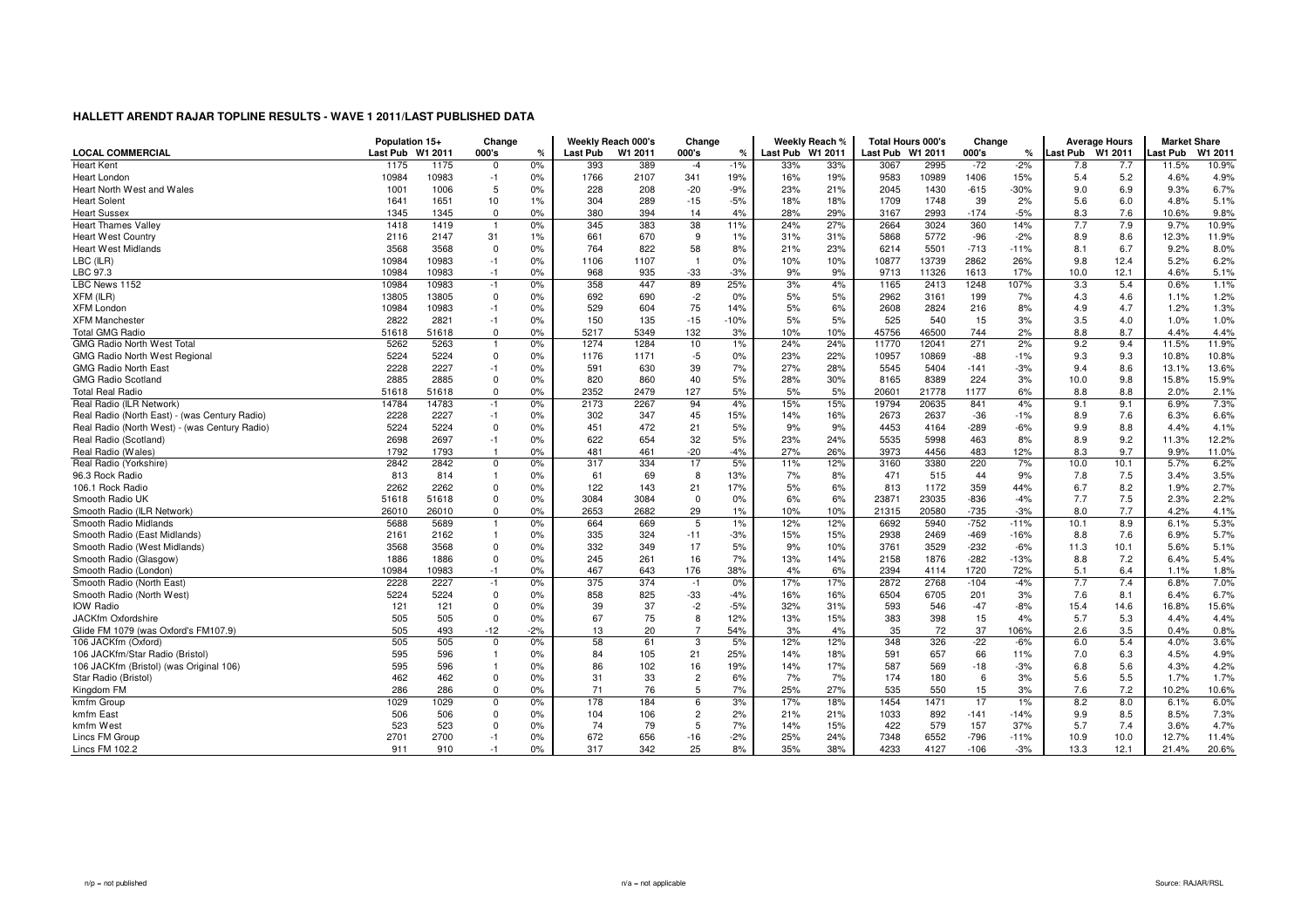|                                               | Population 15+ |         | Change         |       | Weekly Reach 000's |         | Change         |        |                 | Weekly Reach % | <b>Total Hours 000's</b> |       | Change |            |                  | <b>Average Hours</b> | <b>Market Share</b> |        |
|-----------------------------------------------|----------------|---------|----------------|-------|--------------------|---------|----------------|--------|-----------------|----------------|--------------------------|-------|--------|------------|------------------|----------------------|---------------------|--------|
| <b>LOCAL COMMERCIAL</b>                       | Last Pub       | W1 2011 | 000's          | %     | <b>Last Pub</b>    | W1 2011 | 000's          | $\%$   | <b>Last Pub</b> | W1 2011        | Last Pub W1 2011         |       | 000's  | ℀          | Last Pub W1 2011 |                      | Last Pub            | W1 201 |
| <b>Heart Kent</b>                             | 1175           | 1175    | $\Omega$       | 0%    | 393                | 389     | $-4$           | $-1%$  | 33%             | 33%            | 3067                     | 2995  | $-72$  | $-2%$      | 7.8              | 7.7                  | 11.5%               | 10.9%  |
| Heart London                                  | 10984          | 10983   | $-1$           | 0%    | 1766               | 2107    | 341            | 19%    | 16%             | 19%            | 9583                     | 10989 | 1406   | 15%        | 5.4              | 5.2                  | 4.6%                | 4.9%   |
| Heart North West and Wales                    | 1001           | 1006    | 5              | 0%    | 228                | 208     | $-20$          | $-9%$  | 23%             | 21%            | 2045                     | 1430  | $-615$ | $-30%$     | 9.0              | 6.9                  | 9.3%                | 6.7%   |
| <b>Heart Solent</b>                           | 1641           | 1651    | 10             | 1%    | 304                | 289     | $-15$          | $-5%$  | 18%             | 18%            | 1709                     | 1748  | 39     | 2%         | 5.6              | 6.0                  | 4.8%                | 5.1%   |
| <b>Heart Sussex</b>                           | 1345           | 1345    | $\mathbf 0$    | 0%    | 380                | 394     | 14             | 4%     | 28%             | 29%            | 3167                     | 2993  | $-174$ | $-5%$      | 8.3              | 7.6                  | 10.6%               | 9.8%   |
| <b>Heart Thames Valley</b>                    | 1418           | 1419    |                | 0%    | 345                | 383     | 38             | 11%    | 24%             | 27%            | 2664                     | 3024  | 360    | 14%        | 7.7              | 7.9                  | 9.7%                | 10.9%  |
| <b>Heart West Country</b>                     | 2116           | 2147    | 31             | 1%    | 661                | 670     | 9              | 1%     | 31%             | 31%            | 5868                     | 5772  | $-96$  | $-2%$      | 8.9              | 8.6                  | 12.3%               | 11.9%  |
| <b>Heart West Midlands</b>                    | 3568           | 3568    | $\Omega$       | 0%    | 764                | 822     | 58             | 8%     | 21%             | 23%            | 6214                     | 5501  | $-713$ | $-11%$     | 8.1              | 6.7                  | 9.2%                | 8.0%   |
| LBC (ILR)                                     | 10984          | 10983   | $-1$           | 0%    | 1106               | 1107    | $\overline{1}$ | 0%     | 10%             | 10%            | 10877                    | 13739 | 2862   | 26%        | 9.8              | 12.4                 | 5.2%                | 6.2%   |
| LBC 97.3                                      | 10984          | 10983   | $-1$           | 0%    | 968                | 935     | $-33$          | $-3%$  | 9%              | 9%             | 9713                     | 11326 | 1613   | <b>17%</b> | 10.0             | 12.1                 | 4.6%                | 5.1%   |
| LBC News 1152                                 | 10984          | 10983   | $-1$           | 0%    | 358                | 447     | 89             | 25%    | 3%              | 4%             | 1165                     | 2413  | 1248   | 107%       | 3.3              | 5.4                  | 0.6%                | 1.1%   |
| XFM (ILR)                                     | 13805          | 13805   | $\Omega$       | 0%    | 692                | 690     | $-2$           | 0%     | 5%              | 5%             | 2962                     | 3161  | 199    | 7%         | 4.3              | 4.6                  | 1.1%                | 1.2%   |
| <b>XFM London</b>                             | 10984          | 10983   | $-1$           | 0%    | 529                | 604     | 75             | 14%    | 5%              | 6%             | 2608                     | 2824  | 216    | 8%         | 4.9              | 4.7                  | 1.2%                | 1.3%   |
| <b>XFM Manchester</b>                         | 2822           | 2821    | $-1$           | 0%    | 150                | 135     | $-15$          | $-10%$ | 5%              | 5%             | 525                      | 540   | 15     | 3%         | 3.5              | 4.0                  | 1.0%                | 1.0%   |
| <b>Total GMG Radio</b>                        | 51618          | 51618   | $\mathbf 0$    | 0%    | 5217               | 5349    | 132            | 3%     | 10%             | 10%            | 45756                    | 46500 | 744    | 2%         | 8.8              | 8.7                  | 4.4%                | 4.4%   |
| <b>GMG Radio North West Total</b>             | 5262           | 5263    |                | 0%    | 1274               | 1284    | 10             | 1%     | 24%             | 24%            | 11770                    | 12041 | 271    | 2%         | 9.2              | 9.4                  | 11.5%               | 11.9%  |
| <b>GMG Radio North West Regional</b>          | 5224           | 5224    | $\Omega$       | 0%    | 1176               | 1171    | $-5$           | 0%     | 23%             | 22%            | 10957                    | 10869 | $-88$  | $-1%$      | 9.3              | 9.3                  | 10.8%               | 10.8%  |
| <b>GMG Radio North East</b>                   | 2228           | 2227    | $-1$           | 0%    | 591                | 630     | 39             | 7%     | 27%             | 28%            | 5545                     | 5404  | $-141$ | $-3%$      | 9.4              | 8.6                  | 13.1%               | 13.6%  |
| <b>GMG Radio Scotland</b>                     | 2885           | 2885    | $\Omega$       | 0%    | 820                | 860     | 40             | 5%     | 28%             | 30%            | 8165                     | 8389  | 224    | 3%         | 10.0             | 9.8                  | 15.8%               | 15.9%  |
| <b>Total Real Radio</b>                       | 51618          | 51618   | $\Omega$       | 0%    | 2352               | 2479    | 127            | 5%     | 5%              | 5%             | 20601                    | 21778 | 1177   | 6%         | 8.8              | 8.8                  | 2.0%                | 2.1%   |
| Real Radio (ILR Network)                      | 14784          | 14783   | $-1$           | 0%    | 2173               | 2267    | 94             | 4%     | 15%             | 15%            | 19794                    | 20635 | 841    | 4%         | 9.1              | 9.1                  | 6.9%                | 7.3%   |
| Real Radio (North East) - (was Century Radio) | 2228           | 2227    | $-1$           | 0%    | 302                | 347     | 45             | 15%    | 14%             | 16%            | 2673                     | 2637  | $-36$  | $-1%$      | 8.9              | 7.6                  | 6.3%                | 6.6%   |
| Real Radio (North West) - (was Century Radio) | 5224           | 5224    | $\Omega$       | 0%    | 451                | 472     | 21             | 5%     | 9%              | 9%             | 4453                     | 4164  | $-289$ | $-6%$      | 9.9              | 8.8                  | 4.4%                | 4.1%   |
| Real Radio (Scotland)                         | 2698           | 2697    | $-1$           | 0%    | 622                | 654     | 32             | 5%     | 23%             | 24%            | 5535                     | 5998  | 463    | 8%         | 8.9              | 9.2                  | 11.3%               | 12.2%  |
| Real Radio (Wales)                            | 1792           | 1793    |                | 0%    | 481                | 461     | $-20$          | $-4%$  | 27%             | 26%            | 3973                     | 4456  | 483    | 12%        | 8.3              | 9.7                  | 9.9%                | 11.0%  |
| Real Radio (Yorkshire)                        | 2842           | 2842    | $\Omega$       | 0%    | 317                | 334     | 17             | 5%     | 11%             | 12%            | 3160                     | 3380  | 220    | 7%         | 10.0             | 10.1                 | 5.7%                | 6.2%   |
| 96.3 Rock Radio                               | 813            | 814     | 1              | 0%    | 61                 | 69      | 8              | 13%    | 7%              | 8%             | 471                      | 515   | 44     | 9%         | 7.8              | 7.5                  | 3.4%                | 3.5%   |
| 106.1 Rock Radio                              | 2262           | 2262    | $\Omega$       | 0%    | 122                | 143     | 21             | 17%    | 5%              | 6%             | 813                      | 1172  | 359    | 44%        | 6.7              | 8.2                  | 1.9%                | 2.7%   |
| Smooth Radio UK                               | 51618          | 51618   | $\mathbf 0$    | 0%    | 3084               | 3084    | $\mathbf 0$    | 0%     | 6%              | 6%             | 23871                    | 23035 | $-836$ | $-4%$      | 7.7              | 7.5                  | 2.3%                | 2.2%   |
| Smooth Radio (ILR Network)                    | 26010          | 26010   | $\Omega$       | 0%    | 2653               | 2682    | 29             | 1%     | 10%             | 10%            | 21315                    | 20580 | $-735$ | $-3%$      | 8.0              | 7.7                  | 4.2%                | 4.1%   |
| Smooth Radio Midlands                         | 5688           | 5689    | $\overline{1}$ | 0%    | 664                | 669     | 5              | 1%     | 12%             | 12%            | 6692                     | 5940  | $-752$ | $-11%$     | 10.1             | 8.9                  | 6.1%                | 5.3%   |
| Smooth Radio (East Midlands)                  | 2161           | 2162    |                | 0%    | 335                | 324     | $-11$          | $-3%$  | 15%             | 15%            | 2938                     | 2469  | $-469$ | $-16%$     | 8.8              | 7.6                  | 6.9%                | 5.7%   |
| Smooth Radio (West Midlands)                  | 3568           | 3568    | $\Omega$       | 0%    | 332                | 349     | 17             | 5%     | 9%              | 10%            | 3761                     | 3529  | $-232$ | $-6%$      | 11.3             | 10.1                 | 5.6%                | 5.1%   |
| Smooth Radio (Glasgow)                        | 1886           | 1886    | $\Omega$       | 0%    | 245                | 261     | 16             | 7%     | 13%             | 14%            | 2158                     | 1876  | $-282$ | $-13%$     | 8.8              | 7.2                  | 6.4%                | 5.4%   |
| Smooth Radio (London)                         | 10984          | 10983   | $-1$           | 0%    | 467                | 643     | 176            | 38%    | 4%              | 6%             | 2394                     | 4114  | 1720   | 72%        | 5.1              | 6.4                  | 1.1%                | 1.8%   |
| Smooth Radio (North East)                     | 2228           | 2227    | $-1$           | 0%    | 375                | 374     | $-1$           | 0%     | 17%             | 17%            | 2872                     | 2768  | $-104$ | $-4%$      | 7.7              | 7.4                  | 6.8%                | 7.0%   |
| Smooth Radio (North West)                     | 5224           | 5224    | $\Omega$       | 0%    | 858                | 825     | $-33$          | $-4%$  | 16%             | 16%            | 6504                     | 6705  | 201    | 3%         | 7.6              | 8.1                  | 6.4%                | 6.7%   |
| <b>IOW Radio</b>                              | 121            | 121     | $\Omega$       | 0%    | 39                 | 37      | $-2$           | $-5%$  | 32%             | 31%            | 593                      | 546   | $-47$  | $-8%$      | 15.4             | 14.6                 | 16.8%               | 15.6%  |
| JACKfm Oxfordshire                            | 505            | 505     | $\mathbf 0$    | 0%    | 67                 | 75      | 8              | 12%    | 13%             | 15%            | 383                      | 398   | 15     | 4%         | 5.7              | 5.3                  | 4.4%                | 4.4%   |
| Glide FM 1079 (was Oxford's FM107.9)          | 505            | 493     | $-12$          | $-2%$ | 13                 | 20      | $\overline{7}$ | 54%    | 3%              | 4%             | 35                       | 72    | 37     | 106%       | 2.6              | 3.5                  | 0.4%                | 0.8%   |
| 106 JACKfm (Oxford)                           | 505            | 505     | $\Omega$       | 0%    | 58                 | 61      | 3              | 5%     | 12%             | 12%            | 348                      | 326   | $-22$  | $-6%$      | 6.0              | 5.4                  | 4.0%                | 3.6%   |
| 106 JACKfm/Star Radio (Bristol)               | 595            | 596     |                | 0%    | 84                 | 105     | 21             | 25%    | 14%             | 18%            | 591                      | 657   | 66     | 11%        | 7.0              | 6.3                  | 4.5%                | 4.9%   |
| 106 JACKfm (Bristol) (was Original 106)       | 595            | 596     |                | 0%    | 86                 | 102     | 16             | 19%    | 14%             | 17%            | 587                      | 569   | $-18$  | $-3%$      | 6.8              | 5.6                  | 4.3%                | 4.2%   |
| Star Radio (Bristol)                          | 462            | 462     | $\Omega$       | 0%    | 31                 | 33      | $\overline{c}$ | 6%     | 7%              | 7%             | 174                      | 180   | 6      | 3%         | 5.6              | 5.5                  | 1.7%                | 1.7%   |
| Kingdom FM                                    | 286            | 286     | $\Omega$       | 0%    | 71                 | 76      | 5              | 7%     | 25%             | 27%            | 535                      | 550   | 15     | 3%         | 7.6              | 7.2                  | 10.2%               | 10.6%  |
| kmfm Group                                    | 1029           | 1029    | $\Omega$       | 0%    | 178                | 184     | 6              | 3%     | 17%             | 18%            | 1454                     | 1471  | 17     | 1%         | 8.2              | 8.0                  | 6.1%                | 6.0%   |
| kmfm East                                     | 506            | 506     | $\Omega$       | 0%    | 104                | 106     | $\overline{c}$ | 2%     | 21%             | 21%            | 1033                     | 892   | $-141$ | $-14%$     | 9.9              | 8.5                  | 8.5%                | 7.3%   |
| kmfm West                                     | 523            | 523     | $\Omega$       | 0%    | 74                 | 79      | -5             | 7%     | 14%             | 15%            | 422                      | 579   | 157    | 37%        | 5.7              | 7.4                  | 3.6%                | 4.7%   |
| Lincs FM Group                                | 2701           | 2700    | $-1$           | 0%    | 672                | 656     | $-16$          | $-2%$  | 25%             | 24%            | 7348                     | 6552  | $-796$ | $-11%$     | 10.9             | 10.0                 | 12.7%               | 11.4%  |
| Lincs FM 102.2                                | 911            | 910     | $-1$           | 0%    | 317                | 342     | 25             | 8%     | 35%             | 38%            | 4233                     | 4127  | $-106$ | $-3%$      | 13.3             | 12.1                 | 21.4%               | 20.6%  |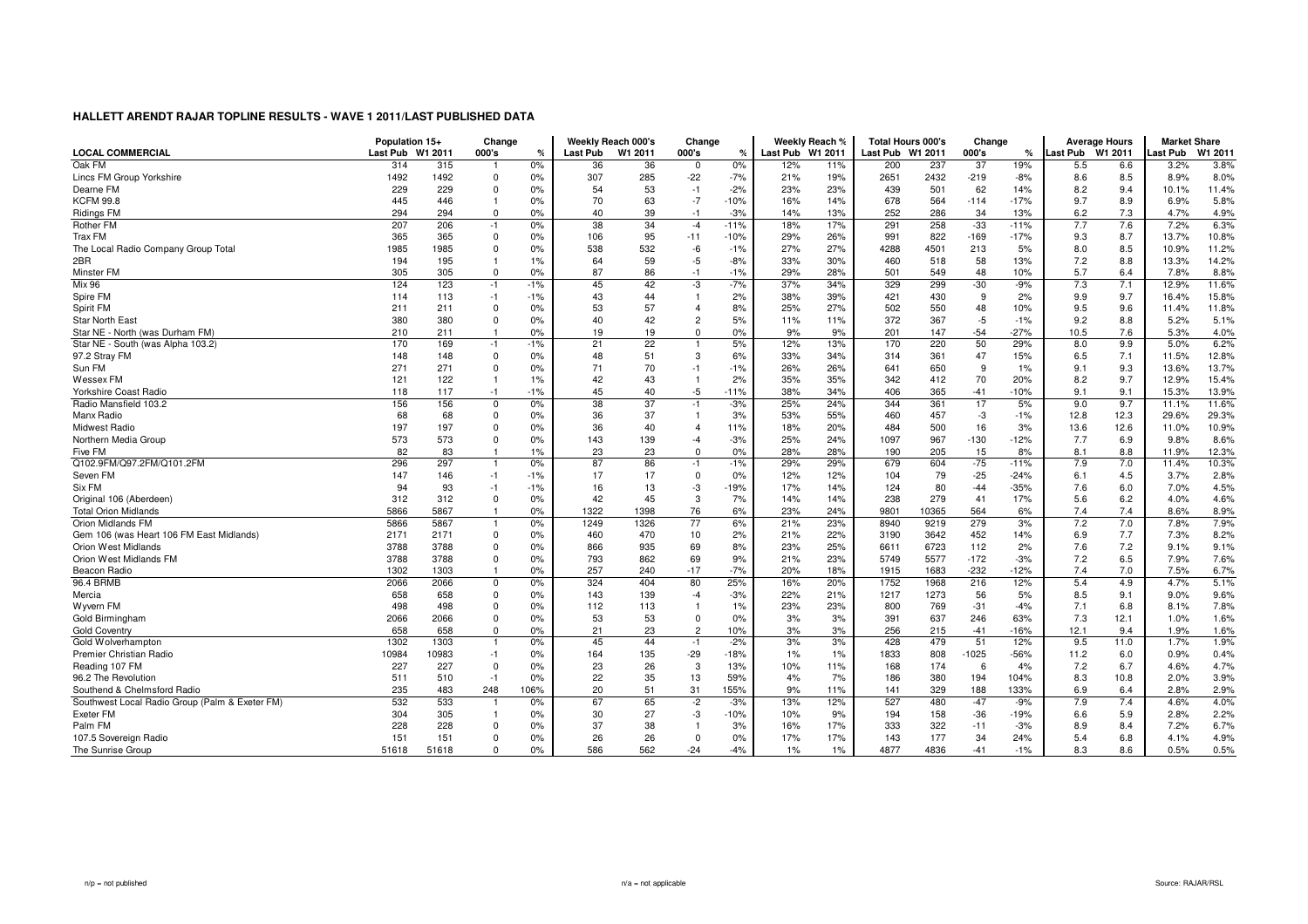|                                                | Population 15+   |       | Change         |       |                 | Weekly Reach 000's | Change         |              |          | Weekly Reach % | <b>Total Hours 000's</b> |            | Change      |               | <b>Average Hours</b> |      | <b>Market Share</b> |              |
|------------------------------------------------|------------------|-------|----------------|-------|-----------------|--------------------|----------------|--------------|----------|----------------|--------------------------|------------|-------------|---------------|----------------------|------|---------------------|--------------|
| <b>LOCAL COMMERCIAL</b>                        | Last Pub W1 2011 |       | 000's          | %     | <b>Last Pub</b> | W1 2011            | 000's          | $\%$         | Last Pub | W1 2011        | Last Pub W1 2011         |            | 000's       | ℀             | Last Pub W1 2011     |      | Last Pub            | W1 2011      |
| Oak FM                                         | 314              | 315   |                | 0%    | 36              | 36                 | 0              | 0%           | 12%      | 11%            | 200                      | 237        | 37          | 19%           | 5.5                  | 6.6  | 3.2%                | 3.8%         |
| Lincs FM Group Yorkshire                       | 1492             | 1492  | $\Omega$       | 0%    | 307             | 285                | $-22$          | $-7%$        | 21%      | 19%            | 2651                     | 2432       | $-219$      | $-8%$         | 8.6                  | 8.5  | 8.9%                | 8.0%         |
| Dearne FM                                      | 229              | 229   | 0              | 0%    | 54              | 53                 | $-1$           | $-2%$        | 23%      | 23%            | 439                      | 501        | 62          | 14%           | 8.2                  | 9.4  | 10.1%               | 11.4%        |
| <b>KCFM 99.8</b>                               | 445              | 446   | $\overline{1}$ | 0%    | 70              | 63                 | $-7$           | $-10%$       | 16%      | 14%            | 678                      | 564        | $-114$      | $-17%$        | 9.7                  | 8.9  | 6.9%                | 5.8%         |
| <b>Ridings FM</b>                              | 294              | 294   | $\mathbf 0$    | 0%    | 40              | 39                 | $-1$           | $-3%$        | 14%      | 13%            | 252                      | 286        | 34          | 13%           | 6.2                  | 7.3  | 4.7%                | 4.9%         |
| <b>Rother FM</b>                               | 207              | 206   | $-1$           | 0%    | 38              | 34                 | $-4$           | $-11%$       | 18%      | 17%            | 291                      | 258        | $-33$       | $-11%$        | 7.7                  | 7.6  | 7.2%                | 6.3%         |
| Trax FM                                        | 365              | 365   | $\Omega$       | 0%    | 106             | 95                 | $-11$          | $-10%$       | 29%      | 26%            | 991                      | 822        | $-169$      | $-17%$        | 9.3                  | 8.7  | 13.7%               | 10.8%        |
| The Local Radio Company Group Total            | 1985             | 1985  | $\Omega$       | 0%    | 538             | 532                | -6             | $-1%$        | 27%      | 27%            | 4288                     | 4501       | 213         | 5%            | 8.0                  | 8.5  | 10.9%               | 11.2%        |
| 2BR                                            | 194              | 195   |                | 1%    | 64              | 59                 | $-5$           | $-8%$        | 33%      | 30%            | 460                      | 518        | 58          | 13%           | 7.2                  | 8.8  | 13.3%               | 14.2%        |
| Minster FM                                     | 305              | 305   | $\Omega$       | 0%    | 87              | 86                 | $-1$           | $-1%$        | 29%      | 28%            | 501                      | 549        | 48          | 10%           | 5.7                  | 6.4  | 7.8%                | 8.8%         |
| Mix 96                                         | 124              | 123   | $-1$           | $-1%$ | 45              | 42                 | -3             | $-7%$        | 37%      | 34%            | 329                      | 299        | $-30$       | $-9%$         | 7.3                  | 7.1  | 12.9%               | 11.6%        |
| Spire FM                                       | 114              | 113   | $-1$           | $-1%$ | 43              | 44                 | $\overline{1}$ | 2%           | 38%      | 39%            | 421                      | 430        | 9           | 2%            | 9.9                  | 9.7  | 16.4%               | 15.8%        |
| Spirit FM                                      | 211              | 211   | $\Omega$       | 0%    | 53              | 57                 | $\overline{4}$ | 8%           | 25%      | 27%            | 502                      | 550        | 48          | 10%           | 9.5                  | 9.6  | 11.4%               | 11.8%        |
| <b>Star North East</b>                         | 380              | 380   | 0              | 0%    | 40              | 42                 | $\overline{c}$ | 5%           | 11%      | 11%            | 372                      | 367        | $-5$        | $-1%$         | 9.2                  | 8.8  | 5.2%                | 5.1%         |
| Star NE - North (was Durham FM)                | 210              | 211   |                | 0%    | 19              | 19                 | $\mathbf 0$    | 0%           | 9%       | 9%             | 201                      | 147        | $-54$       | $-27%$        | 10.5                 | 7.6  | 5.3%                | 4.0%         |
| Star NE - South (was Alpha 103.2)              | 170              | 169   | $-1$           | $-1%$ | 21              | 22                 |                | 5%           | 12%      | 13%            | 170                      | 220        | 50          | 29%           | 8.0                  | 9.9  | 5.0%                | 6.2%         |
| 97.2 Stray FM                                  | 148              | 148   | $\Omega$       | 0%    | 48              | 51                 | 3              | 6%           | 33%      | 34%            | 314                      | 361        | 47          | 15%           | 6.5                  | 7.1  | 11.5%               | 12.8%        |
| Sun FM                                         | 271              | 271   | $\Omega$       | 0%    | 71              | 70                 | $-1$           | $-1%$        | 26%      | 26%            | 641                      | 650        | 9           | 1%            | 9.1                  | 9.3  | 13.6%               | 13.7%        |
| Wessex FM                                      | 121              | 122   | $\overline{1}$ | 1%    | 42              | 43                 | $\overline{1}$ | 2%           | 35%      | 35%            | 342                      | 412        | 70          | 20%           | 8.2                  | 9.7  | 12.9%               | 15.4%        |
| Yorkshire Coast Radio                          | 118              | 117   | $-1$           | $-1%$ | 45              | 40                 | $-5$           | $-11%$       | 38%      | 34%            | 406                      | 365        | $-41$       | -10%          | 9.1                  | 9.1  | 15.3%               | 13.9%        |
| Radio Mansfield 103.2                          | 156              | 156   | $\Omega$       | 0%    | 38              | 37                 | $-1$           | $-3%$        | 25%      | 24%            | 344                      | 361        | 17          | 5%            | 9.0                  | 9.7  | 11.1%               | 11.6%        |
| Manx Radio                                     | 68               | 68    | $\Omega$       | 0%    | 36              | 37                 | $\overline{1}$ | 3%           | 53%      | 55%            | 460                      | 457        | -3          | $-1%$         | 12.8                 | 12.3 | 29.6%               | 29.3%        |
| <b>Midwest Radio</b>                           | 197              | 197   | $\Omega$       | 0%    | 36              | 40                 | $\overline{4}$ | 11%          | 18%      | 20%            | 484                      | 500        | 16          | 3%            | 13.6                 | 12.6 | 11.0%               | 10.9%        |
| Northern Media Group                           | 573              | 573   | $\mathbf 0$    | 0%    | 143             | 139                | $-4$           | $-3%$        | 25%      | 24%            | 1097                     | 967        | $-130$      | $-12%$        | 7.7                  | 6.9  | 9.8%                | 8.6%         |
| Five FM                                        | 82               | 83    | $\overline{1}$ | 1%    | 23              | 23                 | $\mathbf 0$    | 0%           | 28%      | 28%            | 190                      | 205        | 15          | 8%            | 8.1                  | 8.8  | 11.9%               | 12.3%        |
| Q102.9FM/Q97.2FM/Q101.2FM                      | 296              | 297   |                | 0%    | 87              | 86                 | $-1$           | $-1%$        | 29%      | 29%            | 679                      | 604        | $-75$       | $-11%$        | 7.9                  | 7.0  | 11.4%               | 10.3%        |
| Seven FM                                       | 147              | 146   | $-1$           | $-1%$ | 17              | 17                 | $\mathbf 0$    | 0%           | 12%      | 12%            | 104                      | 79         | $-25$       | $-24%$        | 6.1                  | 4.5  | 3.7%                | 2.8%         |
| Six FM                                         | 94               | 93    | $-1$           | $-1%$ | 16              | 13                 | -3             | $-19%$       | 17%      | 14%            | 124                      | 80         | $-44$       | $-35%$        | 7.6                  | 6.0  | 7.0%                | 4.5%         |
| Original 106 (Aberdeen)                        | 312              | 312   | $\mathbf 0$    | 0%    | 42              | 45                 | 3              | 7%           | 14%      | 14%            | 238                      | 279        | 41          | 17%           | 5.6                  | 6.2  | 4.0%                | 4.6%         |
| <b>Total Orion Midlands</b>                    | 5866             | 5867  | $\overline{1}$ | 0%    | 1322            | 1398               | 76             | 6%           | 23%      | 24%            | 9801                     | 10365      | 564         | 6%            | 7.4                  | 7.4  | 8.6%                | 8.9%         |
| Orion Midlands FM                              | 5866             | 5867  | -1             | 0%    | 1249            | 1326               | 77             | 6%           | 21%      | 23%            | 8940                     | 9219       | 279         | 3%            | 7.2                  | 7.0  | 7.8%                | 7.9%         |
| Gem 106 (was Heart 106 FM East Midlands)       | 2171             | 2171  | $\Omega$       | 0%    | 460             | 470                | 10             | 2%           | 21%      | 22%            | 3190                     | 3642       | 452         | 14%           | 6.9                  | 7.7  | 7.3%                | 8.2%         |
| Orion West Midlands                            | 3788             | 3788  | $\Omega$       | 0%    | 866             | 935                | 69             | 8%           | 23%      | 25%            | 6611                     | 6723       | 112         | 2%            | 7.6                  | 7.2  | 9.1%                | 9.1%         |
| Orion West Midlands FM                         | 3788             | 3788  | $\Omega$       | 0%    | 793             | 862                | 69             | 9%           | 21%      | 23%            | 5749                     | 5577       | $-172$      | $-3%$         | 7.2                  | 6.5  | 7.9%                | 7.6%         |
| Beacon Radio                                   | 1302             | 1303  |                | 0%    | 257             | 240                | $-17$          | $-7%$        | 20%      | 18%            | 1915                     | 1683       | $-232$      | $-12%$        | 7.4                  | 7.0  | 7.5%                | 6.7%         |
| 96.4 BRMB                                      | 2066             | 2066  | $\mathbf 0$    | 0%    | 324             | 404                | 80             | 25%          | 16%      | 20%            | 1752                     | 1968       | 216         | 12%           | 5.4                  | 4.9  | 4.7%                | 5.1%         |
| Mercia                                         | 658              | 658   | $\Omega$       | 0%    | 143             | 139                | $-4$           | $-3%$        | 22%      | 21%            | 1217                     | 1273       | 56          | 5%            | 8.5                  | 9.1  | 9.0%                | 9.6%         |
| Wyvern FM                                      | 498              | 498   | $\mathbf 0$    | 0%    | 112             | 113                | $\overline{1}$ | 1%           | 23%      | 23%            | 800                      | 769        | $-31$       | $-4%$         | 7.1                  | 6.8  | 8.1%                | 7.8%         |
| Gold Birmingham                                | 2066             | 2066  | $\mathbf 0$    | 0%    | 53              | 53                 | $\mathbf{0}$   | 0%           | 3%       | 3%             | 391                      | 637        | 246         | 63%           | 7.3                  | 12.1 | 1.0%                | 1.6%         |
|                                                | 658              | 658   | $\Omega$       | 0%    |                 |                    |                |              |          |                |                          |            |             |               |                      |      |                     |              |
| <b>Gold Coventry</b>                           |                  | 1303  |                |       | 21<br>45        | 23<br>44           | $\overline{c}$ | 10%<br>$-2%$ | 3%       | 3%<br>3%       | 256<br>428               | 215<br>479 | $-41$<br>51 | $-16%$<br>12% | 12.1<br>9.5          | 9.4  | 1.9%                | 1.6%<br>1.9% |
| Gold Wolverhampton                             | 1302             |       |                | 0%    |                 |                    | $-1$           |              | 3%       |                |                          |            |             |               |                      | 11.0 | 1.7%                |              |
| Premier Christian Radio                        | 10984            | 10983 | $-1$           | 0%    | 164             | 135                | $-29$          | $-18%$       | 1%       | 1%             | 1833                     | 808        | $-1025$     | $-56%$        | 11.2                 | 6.0  | 0.9%                | 0.4%         |
| Reading 107 FM                                 | 227              | 227   | $\Omega$       | 0%    | 23              | 26                 | 3              | 13%          | 10%      | 11%            | 168                      | 174        | 6           | 4%            | 7.2                  | 6.7  | 4.6%                | 4.7%         |
| 96.2 The Revolution                            | 511              | 510   | $-1$           | 0%    | 22              | 35                 | 13             | 59%          | 4%       | 7%             | 186                      | 380        | 194         | 104%          | 8.3                  | 10.8 | 2.0%                | 3.9%         |
| Southend & Chelmsford Radio                    | 235              | 483   | 248            | 106%  | 20              | 51                 | 31             | 155%         | 9%       | 11%            | 141                      | 329        | 188         | 133%          | 6.9                  | 6.4  | 2.8%                | 2.9%         |
| Southwest Local Radio Group (Palm & Exeter FM) | 532              | 533   | -1             | 0%    | 67              | 65                 | $-2$           | $-3%$        | 13%      | 12%            | 527                      | 480        | $-47$       | $-9%$         | 7.9                  | 7.4  | 4.6%                | 4.0%         |
| Exeter FM                                      | 304              | 305   | -1             | 0%    | 30              | 27                 | -3             | $-10%$       | 10%      | 9%             | 194                      | 158        | $-36$       | $-19%$        | 6.6                  | 5.9  | 2.8%                | 2.2%         |
| Palm FM                                        | 228              | 228   | n              | 0%    | 37              | 38                 | $\mathbf{1}$   | 3%           | 16%      | 17%            | 333                      | 322        | $-11$       | $-3%$         | 8.9                  | 8.4  | 7.2%                | 6.7%         |
| 107.5 Sovereign Radio                          | 151              | 151   | $\Omega$       | 0%    | 26              | 26                 | $\Omega$       | 0%           | 17%      | 17%            | 143                      | 177        | 34          | 24%           | 5.4                  | 6.8  | 4.1%                | 4.9%         |
| The Sunrise Group                              | 51618            | 51618 | $\Omega$       | 0%    | 586             | 562                | $-24$          | $-4%$        | $1\%$    | 1%             | 4877                     | 4836       | $-41$       | $-1%$         | 8.3                  | 8.6  | 0.5%                | 0.5%         |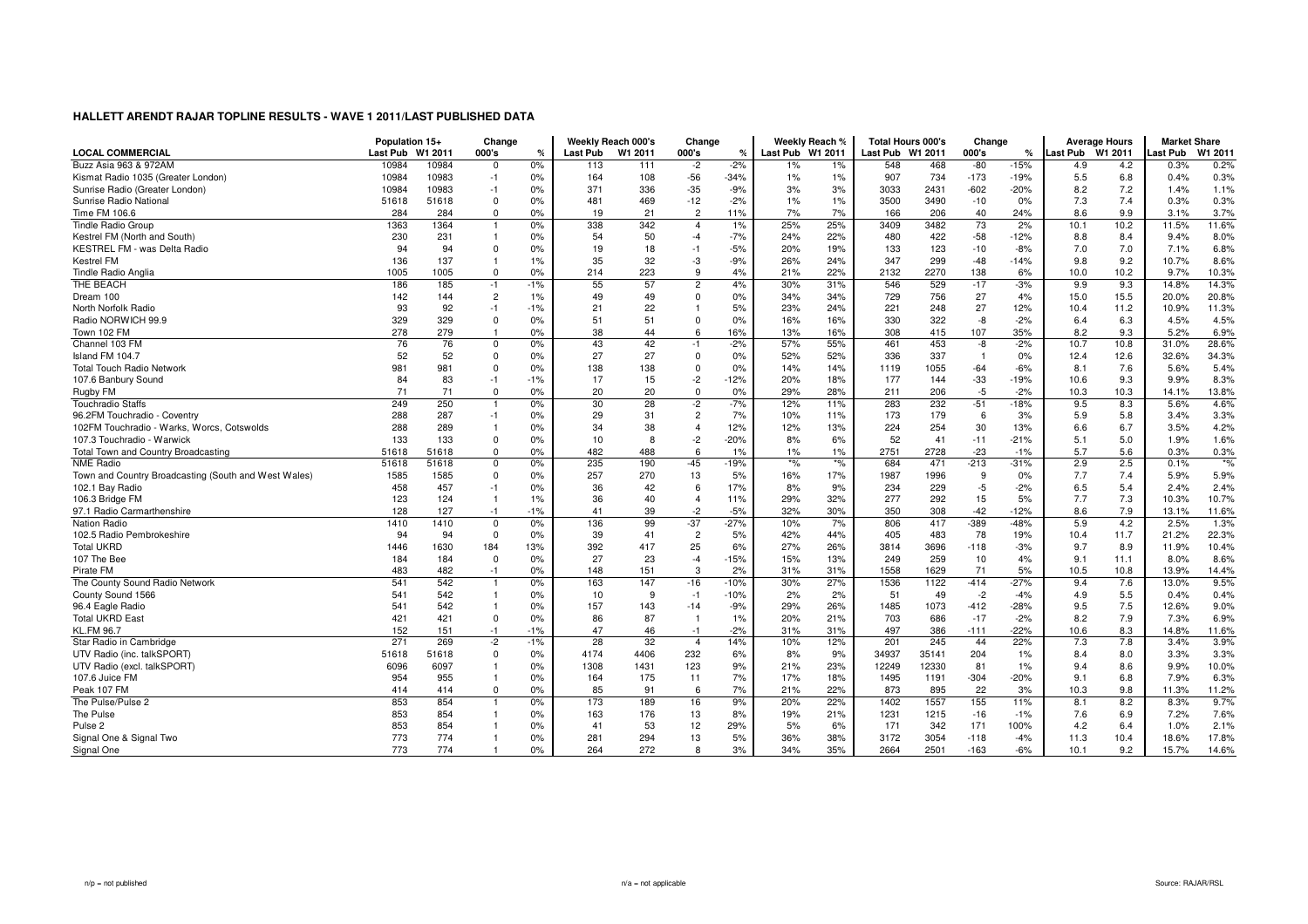| <b>LOCAL COMMERCIAL</b>                              | Population 15+<br>Last Pub | W1 2011 | Change<br>000's | %     | <b>Last Pub</b> | Weekly Reach 000's<br>W1 2011 | Change<br>000's | $\%$   | Last Pub W1 2011 | Weekly Reach % | Last Pub W1 2011 | <b>Total Hours 000's</b> | Change<br>000's | ℀      | Last Pub W1 2011 | <b>Average Hours</b> | <b>Market Share</b><br>Last Pub | W1 2011 |
|------------------------------------------------------|----------------------------|---------|-----------------|-------|-----------------|-------------------------------|-----------------|--------|------------------|----------------|------------------|--------------------------|-----------------|--------|------------------|----------------------|---------------------------------|---------|
| Buzz Asia 963 & 972AM                                | 10984                      | 10984   | 0               | 0%    | 113             | 111                           | $-2$            | $-2%$  | 1%               | 1%             | 548              | 468                      | $-80$           | $-15%$ | 4.9              | 4.2                  | 0.3%                            | 0.2%    |
| Kismat Radio 1035 (Greater London)                   | 10984                      | 10983   | $-1$            | 0%    | 164             | 108                           | $-56$           | $-34%$ | 1%               | 1%             | 907              | 734                      | $-173$          | $-19%$ | 5.5              | 6.8                  | 0.4%                            | 0.3%    |
| Sunrise Radio (Greater London)                       | 10984                      | 10983   | $-1$            | 0%    | 371             | 336                           | $-35$           | $-9%$  | 3%               | 3%             | 3033             | 2431                     | $-602$          | $-20%$ | 8.2              | 7.2                  | 1.4%                            | 1.1%    |
| Sunrise Radio National                               | 51618                      | 51618   | $\Omega$        | 0%    | 481             | 469                           | $-12$           | $-2%$  | 1%               | 1%             | 3500             | 3490                     | $-10$           | 0%     | 7.3              | 7.4                  | 0.3%                            | 0.3%    |
| Time FM 106.6                                        | 284                        | 284     | $\Omega$        | 0%    | 19              | 21                            | $\overline{c}$  | 11%    | 7%               | 7%             | 166              | 206                      | 40              | 24%    | 8.6              | 9.9                  | 3.1%                            | 3.7%    |
| Tindle Radio Group                                   | 1363                       | 1364    |                 | 0%    | 338             | 342                           | $\overline{4}$  | 1%     | 25%              | 25%            | 3409             | 3482                     | 73              | 2%     | 10.1             | 10.2                 | 11.5%                           | 11.6%   |
|                                                      |                            |         |                 |       |                 |                               |                 |        |                  |                |                  |                          |                 |        |                  |                      |                                 |         |
| Kestrel FM (North and South)                         | 230                        | 231     |                 | 0%    | 54              | 50                            | $-4$            | $-7%$  | 24%              | 22%            | 480              | 422                      | $-58$           | $-12%$ | 8.8              | 8.4                  | 9.4%                            | 8.0%    |
| KESTREL FM - was Delta Radio                         | 94                         | 94      | $\Omega$        | 0%    | 19              | 18                            | $-1$            | $-5%$  | 20%              | 19%            | 133              | 123                      | $-10$           | $-8%$  | 7.0              | 7.0                  | 7.1%                            | 6.8%    |
| <b>Kestrel FM</b>                                    | 136                        | 137     |                 | 1%    | 35              | 32                            | -3              | $-9%$  | 26%              | 24%            | 347              | 299                      | $-48$           | $-14%$ | 9.8              | 9.2                  | 10.7%                           | 8.6%    |
| Tindle Radio Anglia                                  | 1005                       | 1005    | $\Omega$        | 0%    | 214             | 223                           | 9               | 4%     | 21%              | 22%            | 2132             | 2270                     | 138             | 6%     | 10.0             | 10.2                 | 9.7%                            | 10.3%   |
| THE BEACH                                            | 186                        | 185     | $-1$            | $-1%$ | 55              | 57                            | $\overline{c}$  | 4%     | 30%              | 31%            | 546              | 529                      | $-17$           | $-3%$  | 9.9              | 9.3                  | 14.8%                           | 14.3%   |
| Dream 100                                            | 142                        | 144     | $\overline{c}$  | 1%    | 49              | 49                            | $\mathbf 0$     | 0%     | 34%              | 34%            | 729              | 756                      | 27              | 4%     | 15.0             | 15.5                 | 20.0%                           | 20.8%   |
| North Norfolk Radio                                  | 93                         | 92      | $-1$            | $-1%$ | 21              | 22                            |                 | 5%     | 23%              | 24%            | 221              | 248                      | 27              | 12%    | 10.4             | 11.2                 | 10.9%                           | 11.3%   |
| Radio NORWICH 99.9                                   | 329                        | 329     | $\Omega$        | 0%    | 51              | 51                            | $\Omega$        | 0%     | 16%              | 16%            | 330              | 322                      | -8              | $-2%$  | 6.4              | 6.3                  | 4.5%                            | 4.5%    |
| Town 102 FM                                          | 278                        | 279     | $\overline{1}$  | 0%    | 38              | 44                            | 6               | 16%    | 13%              | 16%            | 308              | 415                      | 107             | 35%    | 8.2              | 9.3                  | 5.2%                            | 6.9%    |
| Channel 103 FM                                       | 76                         | 76      | $\mathbf 0$     | 0%    | 43              | 42                            | $-1$            | $-2%$  | 57%              | 55%            | 461              | 453                      | -8              | $-2%$  | 10.7             | 10.8                 | 31.0%                           | 28.6%   |
| Island FM 104.7                                      | 52                         | 52      | $\Omega$        | 0%    | 27              | 27                            | $\mathbf 0$     | 0%     | 52%              | 52%            | 336              | 337                      | $\overline{1}$  | 0%     | 12.4             | 12.6                 | 32.6%                           | 34.3%   |
| <b>Total Touch Radio Network</b>                     | 981                        | 981     | $\Omega$        | 0%    | 138             | 138                           | $\mathbf 0$     | 0%     | 14%              | 14%            | 1119             | 1055                     | $-64$           | $-6%$  | 8.1              | 7.6                  | 5.6%                            | 5.4%    |
| 107.6 Banbury Sound                                  | 84                         | 83      | $-1$            | $-1%$ | 17              | 15                            | $-2$            | $-12%$ | 20%              | 18%            | 177              | 144                      | $-33$           | $-19%$ | 10.6             | 9.3                  | 9.9%                            | 8.3%    |
| Rugby FM                                             | 71                         | 71      | $\Omega$        | 0%    | 20              | 20                            | $\mathbf 0$     | 0%     | 29%              | 28%            | 211              | 206                      | $-5$            | $-2%$  | 10.3             | 10.3                 | 14.1%                           | 13.8%   |
| <b>Touchradio Staffs</b>                             | 249                        | 250     |                 | 0%    | 30              | 28                            | $-2$            | $-7%$  | 12%              | 11%            | 283              | 232                      | $-51$           | $-18%$ | 9.5              | 8.3                  | 5.6%                            | 4.6%    |
| 96.2FM Touchradio - Coventry                         | 288                        | 287     | $-1$            | 0%    | 29              | 31                            | $\overline{c}$  | 7%     | 10%              | 11%            | 173              | 179                      | 6               | 3%     | 5.9              | 5.8                  | 3.4%                            | 3.3%    |
| 102FM Touchradio - Warks, Worcs, Cotswolds           | 288                        | 289     |                 | 0%    | 34              | 38                            | $\overline{4}$  | 12%    | 12%              | 13%            | 224              | 254                      | 30              | 13%    | 6.6              | 6.7                  | 3.5%                            | 4.2%    |
| 107.3 Touchradio - Warwick                           | 133                        | 133     | $\Omega$        | 0%    | 10              | 8                             | $-2$            | $-20%$ | 8%               | 6%             | 52               | 41                       | $-11$           | $-21%$ | 5.1              | 5.0                  | 1.9%                            | 1.6%    |
| Total Town and Country Broadcasting                  | 51618                      | 51618   | $\Omega$        | 0%    | 482             | 488                           | 6               | 1%     | $1\%$            | 1%             | 2751             | 2728                     | $-23$           | $-1%$  | 5.7              | 5.6                  | 0.3%                            | 0.3%    |
| <b>NME Radio</b>                                     | 51618                      | 51618   | $\Omega$        | 0%    | 235             | 190                           | $-45$           | $-19%$ | $*$ %            | $*$ %          | 684              | 471                      | $-213$          | $-31%$ | 2.9              | 2.5                  | 0.1%                            | $*$ %   |
| Town and Country Broadcasting (South and West Wales) | 1585                       | 1585    | $\Omega$        | 0%    | 257             | 270                           | 13              | 5%     | 16%              | 17%            | 1987             | 1996                     | 9               | 0%     | 7.7              | 7.4                  | 5.9%                            | 5.9%    |
| 102.1 Bay Radio                                      | 458                        | 457     | $-1$            | 0%    | 36              | 42                            | 6               | 17%    | 8%               | 9%             | 234              | 229                      | $-5$            | $-2%$  | 6.5              | 5.4                  | 2.4%                            | 2.4%    |
| 106.3 Bridge FM                                      | 123                        | 124     | $\overline{1}$  | 1%    | 36              | 40                            | $\overline{4}$  | 11%    | 29%              | 32%            | 277              | 292                      | 15              | 5%     | 7.7              | 7.3                  | 10.3%                           | 10.7%   |
| 97.1 Radio Carmarthenshire                           | 128                        | 127     | $-1$            | $-1%$ | 41              | 39                            | $-2$            | $-5%$  | 32%              | 30%            | 350              | 308                      | $-42$           | $-12%$ | 8.6              | 7.9                  | 13.1%                           | 11.6%   |
| Nation Radio                                         | 1410                       | 1410    | $\Omega$        | 0%    | 136             | 99                            | $-37$           | $-27%$ | 10%              | 7%             | 806              | 417                      | $-389$          | $-48%$ | 5.9              | 4.2                  | 2.5%                            | 1.3%    |
| 102.5 Radio Pembrokeshire                            | 94                         | 94      | $\Omega$        | 0%    | 39              | 41                            | $\overline{c}$  | 5%     | 42%              | 44%            | 405              | 483                      | 78              | 19%    | 10.4             | 11.7                 | 21.2%                           | 22.3%   |
| <b>Total UKRD</b>                                    | 1446                       | 1630    | 184             | 13%   | 392             | 417                           | 25              | 6%     | 27%              | 26%            | 3814             | 3696                     | $-118$          | $-3%$  | 9.7              | 8.9                  | 11.9%                           | 10.4%   |
| 107 The Bee                                          | 184                        | 184     | $\Omega$        | 0%    | 27              | 23                            | $-4$            | $-15%$ | 15%              | 13%            | 249              | 259                      | 10              | 4%     | 9.1              | 11.1                 | 8.0%                            | 8.6%    |
| Pirate FM                                            | 483                        | 482     | $-1$            | 0%    | 148             | 151                           | 3               | 2%     | 31%              | 31%            | 1558             | 1629                     | 71              | 5%     | 10.5             | 10.8                 | 13.9%                           | 14.4%   |
| The County Sound Radio Network                       | 541                        | 542     |                 | 0%    | 163             | 147                           | $-16$           | $-10%$ | 30%              | 27%            | 1536             | 1122                     | $-414$          | $-27%$ | 9.4              | 7.6                  | 13.0%                           | 9.5%    |
| County Sound 1566                                    | 541                        | 542     | $\mathbf{1}$    | 0%    | 10              | 9                             | $-1$            | $-10%$ | 2%               | 2%             | 51               | 49                       | $-2$            | $-4%$  | 4.9              | 5.5                  | 0.4%                            | 0.4%    |
| 96.4 Eagle Radio                                     | 541                        | 542     |                 | 0%    | 157             | 143                           | $-14$           | $-9%$  | 29%              | 26%            | 1485             | 1073                     | $-412$          | $-28%$ | 9.5              | 7.5                  | 12.6%                           | 9.0%    |
| <b>Total UKRD East</b>                               | 421                        | 421     | $\Omega$        | 0%    | 86              | 87                            | $\overline{1}$  | 1%     | 20%              | 21%            | 703              | 686                      | $-17$           | $-2%$  | 8.2              | 7.9                  | 7.3%                            | 6.9%    |
| <b>KL.FM 96.7</b>                                    | 152                        | 151     | $-1$            | $-1%$ | 47              | 46                            | $-1$            | $-2%$  | 31%              | 31%            | 497              | 386                      | $-111$          | $-22%$ | 10.6             | 8.3                  | 14.8%                           | 11.6%   |
| Star Radio in Cambridge                              | 271                        | 269     | $-2$            | $-1%$ | 28              | 32                            | $\overline{4}$  | 14%    | 10%              | 12%            | 201              | 245                      | 44              | 22%    | 7.3              | 7.8                  | 3.4%                            | 3.9%    |
| UTV Radio (inc. talkSPORT)                           | 51618                      | 51618   | $\Omega$        | 0%    | 4174            | 4406                          | 232             | 6%     | 8%               | 9%             | 34937            | 35141                    | 204             | 1%     | 8.4              | 8.0                  | 3.3%                            | 3.3%    |
| UTV Radio (excl. talkSPORT)                          | 6096                       | 6097    |                 | 0%    | 1308            | 1431                          | 123             | 9%     | 21%              | 23%            | 12249            | 12330                    | 81              | 1%     | 9.4              | 8.6                  | 9.9%                            | 10.0%   |
| 107.6 Juice FM                                       | 954                        | 955     |                 | 0%    | 164             | 175                           | 11              | 7%     | 17%              | 18%            | 1495             | 1191                     | $-304$          | $-20%$ | 9.1              | 6.8                  | 7.9%                            | 6.3%    |
| Peak 107 FM                                          | 414                        | 414     | $\Omega$        | 0%    | 85              | 91                            | 6               | 7%     | 21%              | 22%            | 873              | 895                      | 22              | 3%     | 10.3             | 9.8                  | 11.3%                           | 11.2%   |
| The Pulse/Pulse 2                                    | 853                        | 854     |                 | 0%    | 173             | 189                           | 16              | 9%     | 20%              | 22%            | 1402             | 1557                     | 155             | 11%    | 8.1              | 8.2                  | 8.3%                            | 9.7%    |
| The Pulse                                            | 853                        | 854     |                 | 0%    | 163             | 176                           | 13              | 8%     | 19%              | 21%            | 1231             | 1215                     | $-16$           | $-1%$  | 7.6              | 6.9                  | 7.2%                            | 7.6%    |
| Pulse <sub>2</sub>                                   | 853                        | 854     |                 | 0%    | 41              | 53                            | 12              | 29%    | 5%               | 6%             | 171              | 342                      | 171             | 100%   | 4.2              | 6.4                  | 1.0%                            | 2.1%    |
| Signal One & Signal Two                              | 773                        | 774     |                 | 0%    | 281             | 294                           | 13              | 5%     | 36%              | 38%            | 3172             | 3054                     | $-118$          | $-4%$  | 11.3             | 10.4                 | 18.6%                           | 17.8%   |
| Signal One                                           | 773                        | 774     |                 | 0%    | 264             | 272                           | 8               | 3%     | 34%              | 35%            | 2664             | 2501                     | $-163$          | $-6%$  | 10.1             | 9.2                  | 15.7%                           | 14.6%   |
|                                                      |                            |         |                 |       |                 |                               |                 |        |                  |                |                  |                          |                 |        |                  |                      |                                 |         |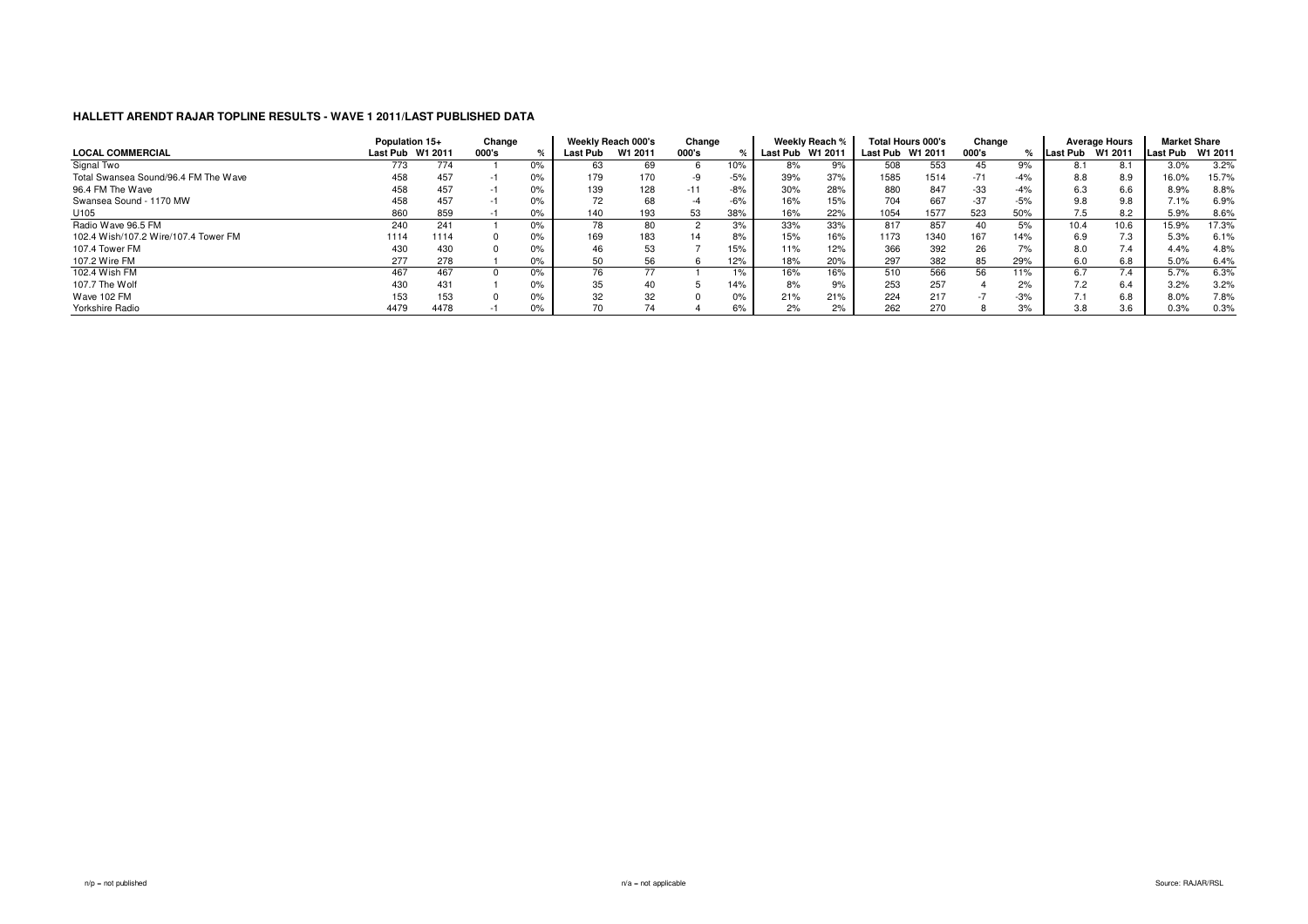|                                      | Population 15+   |      | Change |    |          | Weekly Reach 000's | Change |       |          | Weekly Reach % |                  | Total Hours 000's | Change |       |          | <b>Average Hours</b> | <b>Market Share</b> |       |
|--------------------------------------|------------------|------|--------|----|----------|--------------------|--------|-------|----------|----------------|------------------|-------------------|--------|-------|----------|----------------------|---------------------|-------|
| <b>LOCAL COMMERCIAL</b>              | Last Pub W1 2011 |      | 000's  |    | Last Pub | W1 2011            | 000's  |       | Last Pub | W1 2011        | Last Pub W1 2011 |                   | 000's  |       | Last Pub | W1 2011              | Last Pub W1 2011    |       |
| Signal Two                           | 773              | 774  |        | 0% | 63       |                    |        | 10%   | 8%       | 9%             | 508              | 553               | 45     | 9%    | 8.1      | 8.1                  | 3.0%                | 3.2%  |
| Total Swansea Sound/96.4 FM The Wave | 458              | 457  |        | 0% | 179      | 170                |        | $-5%$ | 39%      | 37%            | 1585             | 1514              | $-71$  | $-4%$ | 8.8      | 8.9                  | 16.0%               | 15.7% |
| 96.4 FM The Wave                     | 458              | 457  |        | 0% | 139      | 128                | $-11$  | $-8%$ | 30%      | 28%            | 880              | 847               | $-33$  | $-4%$ | 6.3      | 6.6                  | 8.9%                | 8.8%  |
| Swansea Sound - 1170 MW              | 458              | 457  |        | 0% | 72       |                    |        | $-6%$ | 16%      | 15%            | 704              | 667               | $-37$  | $-5%$ | 9.8      | 9.8                  | 7.1%                | 6.9%  |
| U105                                 | 860              | 859  |        | 0% | 140      | 193                | 53     | 38%   | 16%      | 22%            | 1054             | 1577              | 523    | 50%   | 7.5      | 8.2                  | 5.9%                | 8.6%  |
| Radio Wave 96.5 FM                   | 240              | 241  |        | 0% |          |                    |        | 3%    | 33%      | 33%            | 817              | 857               | 40     | 5%    | 10.4     | 10.6                 | 15.9%               | 17.3% |
| 102.4 Wish/107.2 Wire/107.4 Tower FM | 1114             | 1114 |        | 0% | 169      | 183                | 14     | 8%    | 15%      | 16%            | 1173             | 1340              | 167    | 14%   | 6.9      | 7.3                  | 5.3%                | 6.1%  |
| 107.4 Tower FM                       | 430              | 430  |        | 0% | 46       |                    |        | 15%   | 11%      | 12%            | 366              | 392               | 26     | 7%    | 8.0      | 7.4                  | 4.4%                | 4.8%  |
| 107.2 Wire FM                        | 277              | 278  |        | 0% | 50       | 56                 |        | 12%   | 18%      | 20%            | 297              | 382               | 85     | 29%   | 6.0      | 6.8                  | 5.0%                | 6.4%  |
| 102.4 Wish FM                        | 467              | 467  |        | 0% |          |                    |        | 1%    | 16%      | 6%             | 510              | 566               | 56     | 11%   | 6.7      |                      | 5.7%                | 6.3%  |
| 107.7 The Wolf                       | 430              | 431  |        | 0% | 35       |                    |        | 14%   | 8%       | 9%             | 253              | 257               |        | 2%    | 7.2      | 6.4                  | 3.2%                | 3.2%  |
| Wave 102 FM                          | 153              | 153  |        | 0% | 32       | 32                 |        | $0\%$ | 21%      | 21%            | 224              | 217               |        | $-3%$ |          | 6.8                  | 8.0%                | 7.8%  |
| Yorkshire Radio                      | 4479             | 4478 |        | 0% | 70       |                    |        | 6%    | 2%       | 2%             | 262              | 270               |        | 3%    | 3.8      | 3.6                  | 0.3%                | 0.3%  |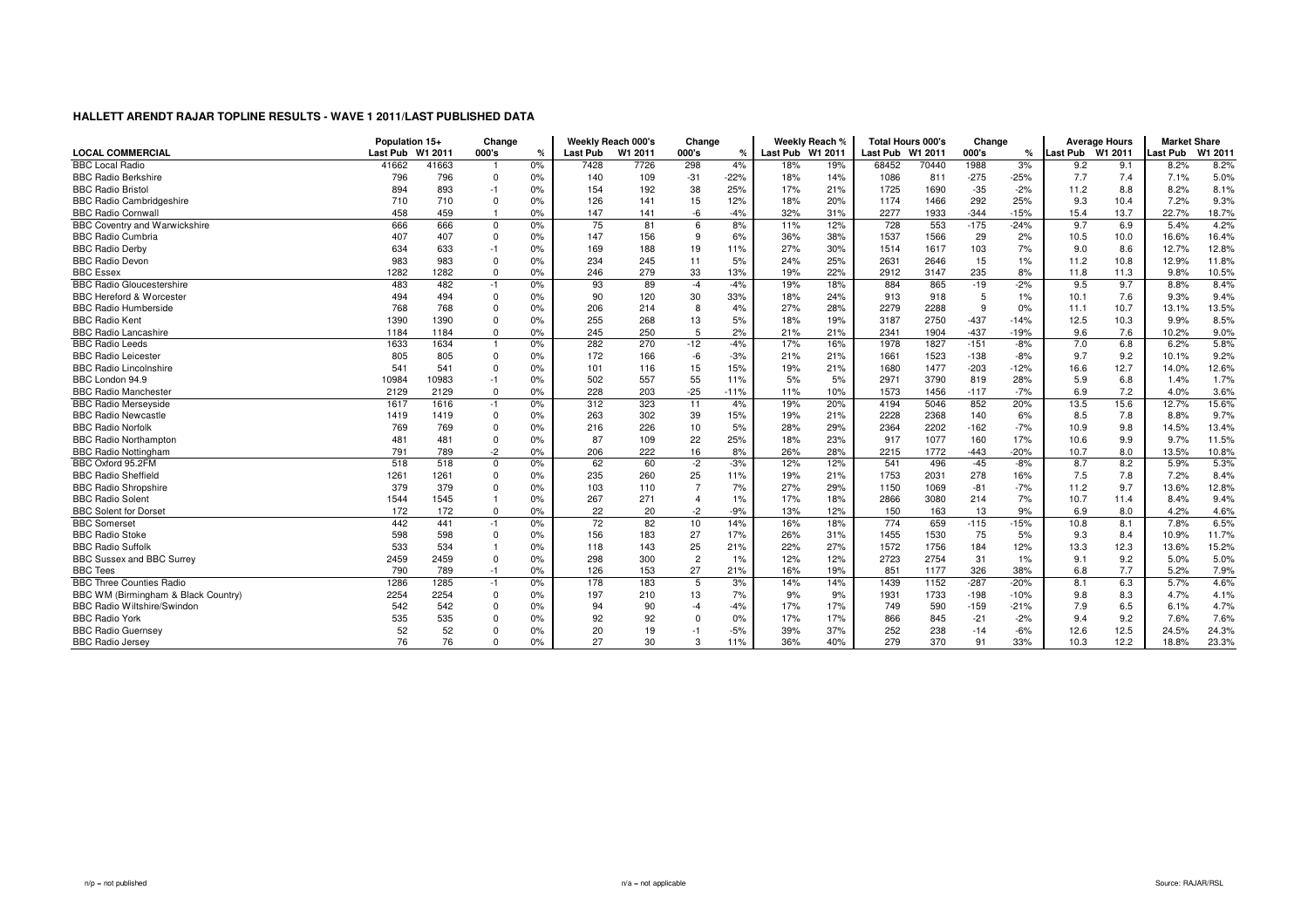|                                      | Population 15+   |       | Change       |    |          | Weekly Reach 000's | Change         |        |                  | Weekly Reach % | Total Hours 000's |       | Change |        |                  | <b>Average Hours</b> | <b>Market Share</b> |         |
|--------------------------------------|------------------|-------|--------------|----|----------|--------------------|----------------|--------|------------------|----------------|-------------------|-------|--------|--------|------------------|----------------------|---------------------|---------|
| <b>LOCAL COMMERCIAL</b>              | Last Pub W1 2011 |       | 000's        | %  | Last Pub | W1 2011            | 000's          | ℀      | Last Pub W1 2011 |                | Last Pub W1 2011  |       | 000's  | ℀      | Last Pub W1 2011 |                      | <b>Last Pub</b>     | W1 2011 |
| <b>BBC Local Radio</b>               | 41662            | 41663 |              | 0% | 7428     | 7726               | 298            | 4%     | 18%              | 19%            | 68452             | 70440 | 1988   | 3%     | 9.2              | 9.1                  | 8.2%                | 8.2%    |
| <b>BBC Radio Berkshire</b>           | 796              | 796   | $\Omega$     | 0% | 140      | 109                | $-31$          | $-22%$ | 18%              | 14%            | 1086              | 811   | $-275$ | $-25%$ | 7.7              | 7.4                  | 7.1%                | 5.0%    |
| <b>BBC Radio Bristol</b>             | 894              | 893   | $-1$         | 0% | 154      | 192                | 38             | 25%    | 17%              | 21%            | 1725              | 1690  | $-35$  | $-2%$  | 11.2             | 8.8                  | 8.2%                | 8.1%    |
| <b>BBC Radio Cambridgeshire</b>      | 710              | 710   | $\Omega$     | 0% | 126      | 141                | 15             | 12%    | 18%              | 20%            | 1174              | 1466  | 292    | 25%    | 9.3              | 10.4                 | 7.2%                | 9.3%    |
| <b>BBC Radio Cornwall</b>            | 458              | 459   |              | 0% | 147      | 141                | -6             | $-4%$  | 32%              | 31%            | 2277              | 1933  | $-344$ | $-15%$ | 15.4             | 13.7                 | 22.7%               | 18.7%   |
| <b>BBC Coventry and Warwickshire</b> | 666              | 666   | $^{\circ}$   | 0% | 75       | 81                 | 6              | 8%     | 11%              | 12%            | 728               | 553   | $-175$ | $-24%$ | 9.7              | 6.9                  | 5.4%                | 4.2%    |
| <b>BBC Radio Cumbria</b>             | 407              | 407   | $\Omega$     | 0% | 147      | 156                | 9              | 6%     | 36%              | 38%            | 1537              | 1566  | 29     | 2%     | 10.5             | 10.0                 | 16.6%               | 16.4%   |
| <b>BBC Radio Derby</b>               | 634              | 633   | $-1$         | 0% | 169      | 188                | 19             | 11%    | 27%              | 30%            | 1514              | 1617  | 103    | 7%     | 9.0              | 8.6                  | 12.7%               | 12.8%   |
| <b>BBC Radio Devor</b>               | 983              | 983   |              | 0% | 234      | 245                | 11             | 5%     | 24%              | 25%            | 2631              | 2646  | 15     | 1%     | 11.2             | 10.8                 | 12.9%               | 11.8%   |
| <b>BBC</b> Essex                     | 1282             | 1282  | $\Omega$     | 0% | 246      | 279                | 33             | 13%    | 19%              | 22%            | 2912              | 3147  | 235    | 8%     | 11.8             | 11.3                 | 9.8%                | 10.5%   |
| <b>BBC Radio Gloucestershire</b>     | 483              | 482   | $-1$         | 0% | 93       | 89                 | $-4$           | $-4%$  | 19%              | 18%            | 884               | 865   | $-19$  | $-2%$  | 9.5              | 9.7                  | 8.8%                | 8.4%    |
| <b>BBC Hereford &amp; Worcester</b>  | 494              | 494   | $\Omega$     | 0% | 90       | 120                | 30             | 33%    | 18%              | 24%            | 913               | 918   | 5      | 1%     | 10.1             | 7.6                  | 9.3%                | 9.4%    |
| <b>BBC Radio Humberside</b>          | 768              | 768   |              | 0% | 206      | 214                | 8              | 4%     | 27%              | 28%            | 2279              | 2288  | 9      | 0%     | 11.1             | 10.7                 | 13.1%               | 13.5%   |
| <b>BBC Radio Kent</b>                | 1390             | 1390  | $\Omega$     | 0% | 255      | 268                | 13             | 5%     | 18%              | 19%            | 3187              | 2750  | $-437$ | $-14%$ | 12.5             | 10.3                 | 9.9%                | 8.5%    |
| <b>BBC Radio Lancashire</b>          | 1184             | 1184  | $\Omega$     | 0% | 245      | 250                | 5              | 2%     | 21%              | 21%            | 2341              | 1904  | $-437$ | $-19%$ | 9.6              | 7.6                  | 10.2%               | 9.0%    |
| <b>BBC Radio Leeds</b>               | 1633             | 1634  |              | 0% | 282      | 270                | $-12$          | $-4%$  | 17%              | 16%            | 1978              | 1827  | $-151$ | $-8%$  | 7.0              | 6.8                  | 6.2%                | 5.8%    |
| <b>BBC Radio Leicester</b>           | 805              | 805   | $\Omega$     | 0% | 172      | 166                | $-6$           | $-3%$  | 21%              | 21%            | 1661              | 1523  | $-138$ | $-8%$  | 9.7              | 9.2                  | 10.1%               | 9.2%    |
| <b>BBC Radio Lincolnshire</b>        | 541              | 541   |              | 0% | 101      | 116                | 15             | 15%    | 19%              | 21%            | 1680              | 1477  | $-203$ | $-12%$ | 16.6             | 12.7                 | 14.0%               | 12.6%   |
| BBC London 94.9                      | 10984            | 10983 | $-1$         | 0% | 502      | 557                | 55             | 11%    | 5%               | 5%             | 2971              | 3790  | 819    | 28%    | 5.9              | 6.8                  | 1.4%                | 1.7%    |
| <b>BBC Radio Manchester</b>          | 2129             | 2129  | $\Omega$     | 0% | 228      | 203                | $-25$          | $-11%$ | 11%              | 10%            | 1573              | 1456  | $-117$ | $-7%$  | 6.9              | 7.2                  | 4.0%                | 3.6%    |
| <b>BBC Radio Merseyside</b>          | 1617             | 1616  | $-1$         | 0% | 312      | 323                | 11             | 4%     | 19%              | 20%            | 4194              | 5046  | 852    | 20%    | 13.5             | 15.6                 | 12.7%               | 15.6%   |
| <b>BBC Radio Newcastle</b>           | 1419             | 1419  | $\Omega$     | 0% | 263      | 302                | 39             | 15%    | 19%              | 21%            | 2228              | 2368  | 140    | 6%     | 8.5              | 7.8                  | 8.8%                | 9.7%    |
| <b>BBC Radio Norfolk</b>             | 769              | 769   | $\Omega$     | 0% | 216      | 226                | 10             | 5%     | 28%              | 29%            | 2364              | 2202  | $-162$ | $-7%$  | 10.9             | 9.8                  | 14.5%               | 13.4%   |
| <b>BBC Radio Northampton</b>         | 481              | 481   | $\mathbf 0$  | 0% | 87       | 109                | 22             | 25%    | 18%              | 23%            | 917               | 1077  | 160    | 17%    | 10.6             | 9.9                  | 9.7%                | 11.5%   |
| <b>BBC Radio Nottingham</b>          | 791              | 789   | $-2$         | 0% | 206      | 222                | 16             | 8%     | 26%              | 28%            | 2215              | 1772  | $-443$ | $-20%$ | 10.7             | 8.0                  | 13.5%               | 10.8%   |
| BBC Oxford 95.2FM                    | 518              | 518   | $\Omega$     | 0% | 62       | 60                 | $-2$           | $-3%$  | 12%              | 12%            | 541               | 496   | $-45$  | $-8%$  | 8.7              | 8.2                  | 5.9%                | 5.3%    |
| <b>BBC Radio Sheffield</b>           | 1261             | 1261  | $\Omega$     | 0% | 235      | 260                | 25             | 11%    | 19%              | 21%            | 1753              | 2031  | 278    | 16%    | 7.5              | 7.8                  | 7.2%                | 8.4%    |
| <b>BBC Radio Shropshire</b>          | 379              | 379   |              | 0% | 103      | 110                | $\overline{7}$ | 7%     | 27%              | 29%            | 1150              | 1069  | $-81$  | $-7%$  | 11.2             | 9.7                  | 13.6%               | 12.8%   |
| <b>BBC Radio Solent</b>              | 1544             | 1545  |              | 0% | 267      | 271                | $\overline{4}$ | 1%     | 17%              | 18%            | 2866              | 3080  | 214    | 7%     | 10.7             | 11.4                 | 8.4%                | 9.4%    |
| <b>BBC Solent for Dorset</b>         | 172              | 172   | $\Omega$     | 0% | 22       | 20                 | $-2$           | $-9%$  | 13%              | 12%            | 150               | 163   | 13     | 9%     | 6.9              | 8.0                  | 4.2%                | 4.6%    |
| <b>BBC</b> Somerset                  | 442              | 441   | $-1$         | 0% | 72       | 82                 | 10             | 14%    | 16%              | 18%            | 774               | 659   | $-115$ | $-15%$ | 10.8             | 8.1                  | 7.8%                | 6.5%    |
| <b>BBC Radio Stoke</b>               | 598              | 598   | $\Omega$     | 0% | 156      | 183                | 27             | 17%    | 26%              | 31%            | 1455              | 1530  | 75     | 5%     | 9.3              | 8.4                  | 10.9%               | 11.7%   |
| <b>BBC Radio Suffolk</b>             | 533              | 534   |              | 0% | 118      | 143                | 25             | 21%    | 22%              | 27%            | 1572              | 1756  | 184    | 12%    | 13.3             | 12.3                 | 13.6%               | 15.2%   |
| BBC Sussex and BBC Surrey            | 2459             | 2459  | $\mathbf 0$  | 0% | 298      | 300                | $\overline{2}$ | 1%     | 12%              | 12%            | 2723              | 2754  | 31     | 1%     | 9.1              | 9.2                  | 5.0%                | 5.0%    |
| <b>BBC</b> Tees                      | 790              | 789   | $-1$         | 0% | 126      | 153                | 27             | 21%    | 16%              | 19%            | 851               | 1177  | 326    | 38%    | 6.8              | 7.7                  | 5.2%                | 7.9%    |
| <b>BBC Three Counties Radio</b>      | 1286             | 1285  | $-1$         | 0% | 178      | 183                | 5              | 3%     | 14%              | 14%            | 1439              | 1152  | $-287$ | $-20%$ | 8.1              | 6.3                  | 5.7%                | 4.6%    |
| BBC WM (Birmingham & Black Country)  | 2254             | 2254  | $\Omega$     | 0% | 197      | 210                | 13             | 7%     | 9%               | 9%             | 1931              | 1733  | $-198$ | $-10%$ | 9.8              | 8.3                  | 4.7%                | 4.1%    |
| <b>BBC Radio Wiltshire/Swindon</b>   | 542              | 542   | <sup>0</sup> | 0% | 94       | 90                 | $-4$           | $-4%$  | 17%              | 17%            | 749               | 590   | $-159$ | $-21%$ | 7.9              | 6.5                  | 6.1%                | 4.7%    |
| <b>BBC Radio York</b>                | 535              | 535   |              | 0% | 92       | 92                 | $\Omega$       | 0%     | 17%              | 17%            | 866               | 845   | $-21$  | $-2%$  | 9.4              | 9.2                  | 7.6%                | 7.6%    |
| <b>BBC Radio Guernsey</b>            | 52               | 52    |              | 0% | 20       | 19                 | $-1$           | $-5%$  | 39%              | 37%            | 252               | 238   | $-14$  | $-6%$  | 12.6             | 12.5                 | 24.5%               | 24.3%   |
| <b>BBC Radio Jersey</b>              | 76               | 76    | $\Omega$     | 0% | 27       | 30                 | 3              | 11%    | 36%              | 40%            | 279               | 370   | 91     | 33%    | 10.3             | 12.2                 | 18.8%               | 23.3%   |